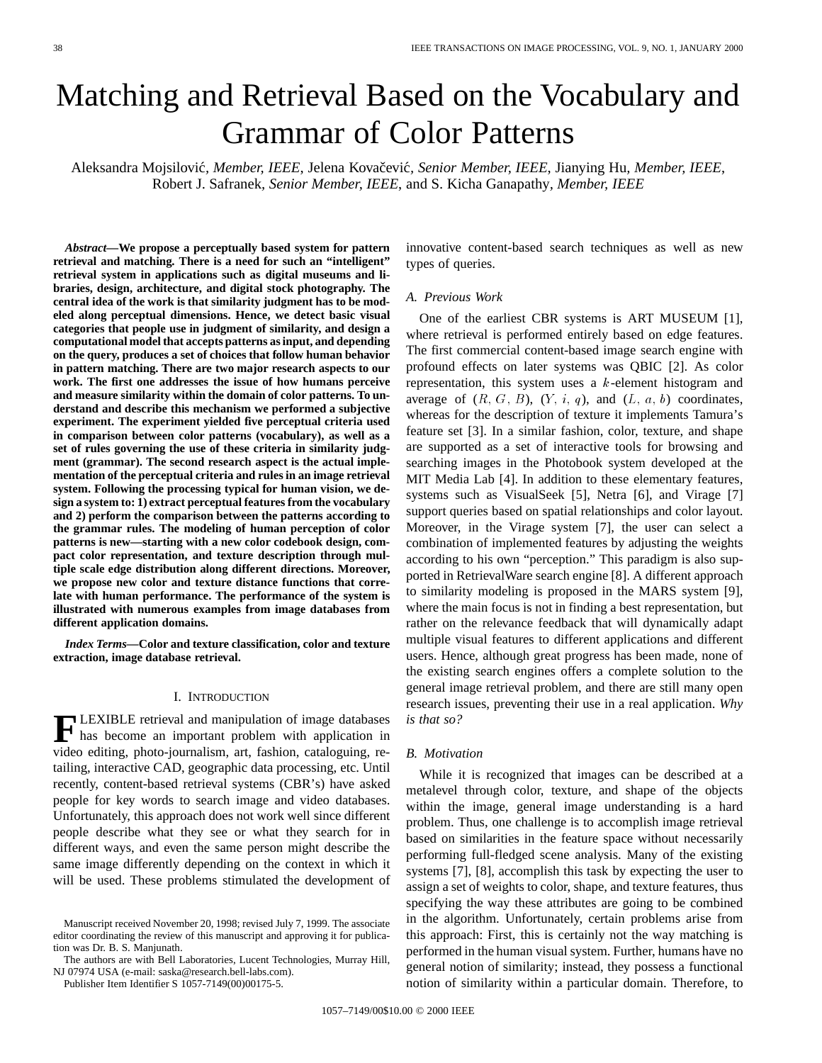# Matching and Retrieval Based on the Vocabulary and Grammar of Color Patterns

Aleksandra Mojsilovic´*, Member, IEEE*, Jelena Kovaˇcevic´*, Senior Member, IEEE*, Jianying Hu*, Member, IEEE*, Robert J. Safranek*, Senior Member, IEEE*, and S. Kicha Ganapathy*, Member, IEEE*

*Abstract—***We propose a perceptually based system for pattern retrieval and matching. There is a need for such an "intelligent" retrieval system in applications such as digital museums and libraries, design, architecture, and digital stock photography. The central idea of the work is that similarity judgment has to be modeled along perceptual dimensions. Hence, we detect basic visual categories that people use in judgment of similarity, and design a computational model that accepts patterns as input, and depending on the query, produces a set of choices that follow human behavior in pattern matching. There are two major research aspects to our work. The first one addresses the issue of how humans perceive and measure similarity within the domain of color patterns. To understand and describe this mechanism we performed a subjective experiment. The experiment yielded five perceptual criteria used in comparison between color patterns (vocabulary), as well as a set of rules governing the use of these criteria in similarity judgment (grammar). The second research aspect is the actual implementation of the perceptual criteria and rules in an image retrieval system. Following the processing typical for human vision, we design a system to: 1) extract perceptual features from the vocabulary and 2) perform the comparison between the patterns according to the grammar rules. The modeling of human perception of color patterns is new—starting with a new color codebook design, compact color representation, and texture description through multiple scale edge distribution along different directions. Moreover, we propose new color and texture distance functions that correlate with human performance. The performance of the system is illustrated with numerous examples from image databases from different application domains.**

*Index Terms—***Color and texture classification, color and texture extraction, image database retrieval.**

#### I. INTRODUCTION

**F**LEXIBLE retrieval and manipulation of image databases<br>has become an important problem with application in video editing, photo-journalism, art, fashion, cataloguing, retailing, interactive CAD, geographic data processing, etc. Until recently, content-based retrieval systems (CBR's) have asked people for key words to search image and video databases. Unfortunately, this approach does not work well since different people describe what they see or what they search for in different ways, and even the same person might describe the same image differently depending on the context in which it will be used. These problems stimulated the development of

Publisher Item Identifier S 1057-7149(00)00175-5.

innovative content-based search techniques as well as new types of queries.

## *A. Previous Work*

One of the earliest CBR systems is ART MUSEUM [1], where retrieval is performed entirely based on edge features. The first commercial content-based image search engine with profound effects on later systems was QBIC [2]. As color representation, this system uses a  $k$ -element histogram and average of  $(R, G, B)$ ,  $(Y, i, q)$ , and  $(L, a, b)$  coordinates, whereas for the description of texture it implements Tamura's feature set [3]. In a similar fashion, color, texture, and shape are supported as a set of interactive tools for browsing and searching images in the Photobook system developed at the MIT Media Lab [4]. In addition to these elementary features, systems such as VisualSeek [5], Netra [6], and Virage [7] support queries based on spatial relationships and color layout. Moreover, in the Virage system [7], the user can select a combination of implemented features by adjusting the weights according to his own "perception." This paradigm is also supported in RetrievalWare search engine [8]. A different approach to similarity modeling is proposed in the MARS system [9], where the main focus is not in finding a best representation, but rather on the relevance feedback that will dynamically adapt multiple visual features to different applications and different users. Hence, although great progress has been made, none of the existing search engines offers a complete solution to the general image retrieval problem, and there are still many open research issues, preventing their use in a real application. *Why is that so?*

## *B. Motivation*

While it is recognized that images can be described at a metalevel through color, texture, and shape of the objects within the image, general image understanding is a hard problem. Thus, one challenge is to accomplish image retrieval based on similarities in the feature space without necessarily performing full-fledged scene analysis. Many of the existing systems [7], [8], accomplish this task by expecting the user to assign a set of weights to color, shape, and texture features, thus specifying the way these attributes are going to be combined in the algorithm. Unfortunately, certain problems arise from this approach: First, this is certainly not the way matching is performed in the human visual system. Further, humans have no general notion of similarity; instead, they possess a functional notion of similarity within a particular domain. Therefore, to

Manuscript received November 20, 1998; revised July 7, 1999. The associate editor coordinating the review of this manuscript and approving it for publication was Dr. B. S. Manjunath.

The authors are with Bell Laboratories, Lucent Technologies, Murray Hill, NJ 07974 USA (e-mail: saska@research.bell-labs.com).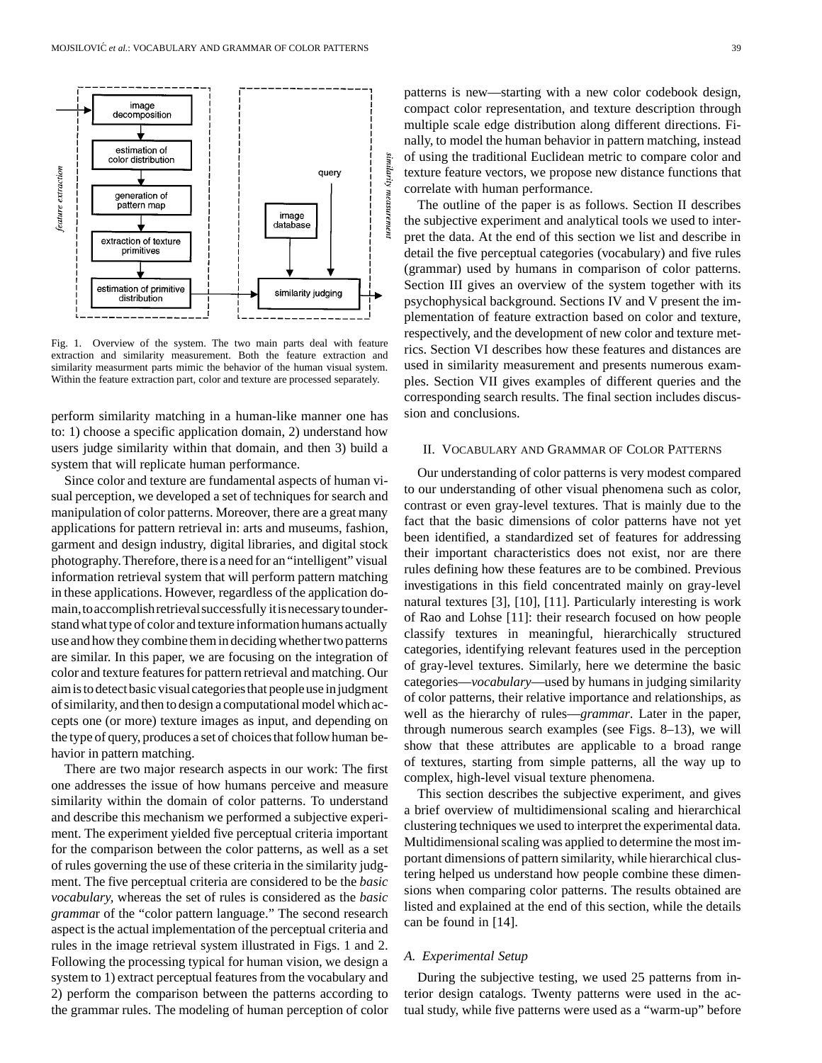

Fig. 1. Overview of the system. The two main parts deal with feature extraction and similarity measurement. Both the feature extraction and similarity measurment parts mimic the behavior of the human visual system. Within the feature extraction part, color and texture are processed separately.

perform similarity matching in a human-like manner one has to: 1) choose a specific application domain, 2) understand how users judge similarity within that domain, and then 3) build a system that will replicate human performance.

Since color and texture are fundamental aspects of human visual perception, we developed a set of techniques for search and manipulation of color patterns. Moreover, there are a great many applications for pattern retrieval in: arts and museums, fashion, garment and design industry, digital libraries, and digital stock photography.Therefore, there is a need for an "intelligent" visual information retrieval system that will perform pattern matching in these applications. However, regardless of the application domain,toaccomplishretrievalsuccessfully itisnecessarytounderstand what type of color and texture information humans actually use and how they combine them in deciding whether two patterns are similar. In this paper, we are focusing on the integration of color and texture features for pattern retrieval and matching. Our aimis todetectbasic visualcategoriesthat peopleuse injudgment of similarity, and then to design a computational model which accepts one (or more) texture images as input, and depending on the type of query, produces a set of choices that follow human behavior in pattern matching.

There are two major research aspects in our work: The first one addresses the issue of how humans perceive and measure similarity within the domain of color patterns. To understand and describe this mechanism we performed a subjective experiment. The experiment yielded five perceptual criteria important for the comparison between the color patterns, as well as a set of rules governing the use of these criteria in the similarity judgment. The five perceptual criteria are considered to be the *basic vocabulary,* whereas the set of rules is considered as the *basic gramma*r of the "color pattern language." The second research aspect is the actual implementation of the perceptual criteria and rules in the image retrieval system illustrated in Figs. 1 and 2. Following the processing typical for human vision, we design a system to 1) extract perceptual features from the vocabulary and 2) perform the comparison between the patterns according to the grammar rules. The modeling of human perception of color patterns is new—starting with a new color codebook design, compact color representation, and texture description through multiple scale edge distribution along different directions. Finally, to model the human behavior in pattern matching, instead of using the traditional Euclidean metric to compare color and texture feature vectors, we propose new distance functions that correlate with human performance.

The outline of the paper is as follows. Section II describes the subjective experiment and analytical tools we used to interpret the data. At the end of this section we list and describe in detail the five perceptual categories (vocabulary) and five rules (grammar) used by humans in comparison of color patterns. Section III gives an overview of the system together with its psychophysical background. Sections IV and V present the implementation of feature extraction based on color and texture, respectively, and the development of new color and texture metrics. Section VI describes how these features and distances are used in similarity measurement and presents numerous examples. Section VII gives examples of different queries and the corresponding search results. The final section includes discussion and conclusions.

# II. VOCABULARY AND GRAMMAR OF COLOR PATTERNS

Our understanding of color patterns is very modest compared to our understanding of other visual phenomena such as color, contrast or even gray-level textures. That is mainly due to the fact that the basic dimensions of color patterns have not yet been identified, a standardized set of features for addressing their important characteristics does not exist, nor are there rules defining how these features are to be combined. Previous investigations in this field concentrated mainly on gray-level natural textures [3], [10], [11]. Particularly interesting is work of Rao and Lohse [11]: their research focused on how people classify textures in meaningful, hierarchically structured categories, identifying relevant features used in the perception of gray-level textures. Similarly, here we determine the basic categories—*vocabulary*—used by humans in judging similarity of color patterns, their relative importance and relationships, as well as the hierarchy of rules—*grammar*. Later in the paper, through numerous search examples (see Figs. 8–13), we will show that these attributes are applicable to a broad range of textures, starting from simple patterns, all the way up to complex, high-level visual texture phenomena.

This section describes the subjective experiment, and gives a brief overview of multidimensional scaling and hierarchical clustering techniques we used to interpret the experimental data. Multidimensional scaling was applied to determine the most important dimensions of pattern similarity, while hierarchical clustering helped us understand how people combine these dimensions when comparing color patterns. The results obtained are listed and explained at the end of this section, while the details can be found in [14].

## *A. Experimental Setup*

During the subjective testing, we used 25 patterns from interior design catalogs. Twenty patterns were used in the actual study, while five patterns were used as a "warm-up" before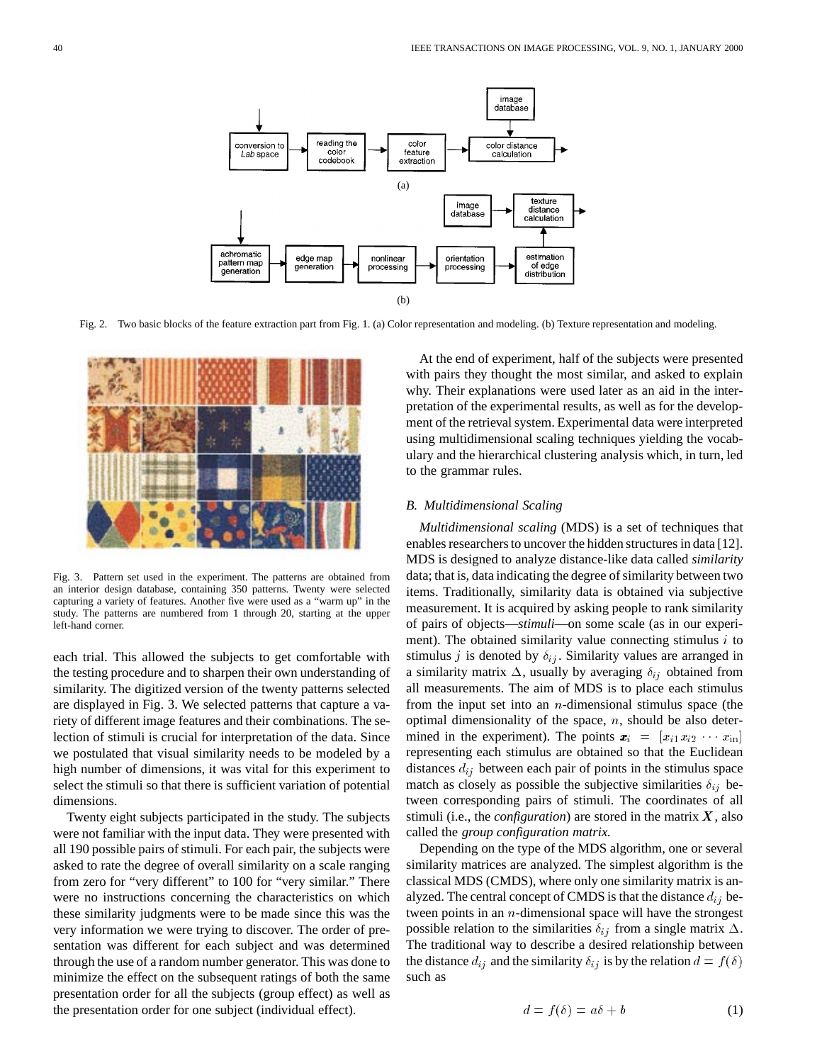

Fig. 2. Two basic blocks of the feature extraction part from Fig. 1. (a) Color representation and modeling. (b) Texture representation and modeling.



Fig. 3. Pattern set used in the experiment. The patterns are obtained from an interior design database, containing 350 patterns. Twenty were selected capturing a variety of features. Another five were used as a "warm up" in the study. The patterns are numbered from 1 through 20, starting at the upper left-hand corner.

each trial. This allowed the subjects to get comfortable with the testing procedure and to sharpen their own understanding of similarity. The digitized version of the twenty patterns selected are displayed in Fig. 3. We selected patterns that capture a variety of different image features and their combinations. The selection of stimuli is crucial for interpretation of the data. Since we postulated that visual similarity needs to be modeled by a high number of dimensions, it was vital for this experiment to select the stimuli so that there is sufficient variation of potential dimensions.

Twenty eight subjects participated in the study. The subjects were not familiar with the input data. They were presented with all 190 possible pairs of stimuli. For each pair, the subjects were asked to rate the degree of overall similarity on a scale ranging from zero for "very different" to 100 for "very similar." There were no instructions concerning the characteristics on which these similarity judgments were to be made since this was the very information we were trying to discover. The order of presentation was different for each subject and was determined through the use of a random number generator. This was done to minimize the effect on the subsequent ratings of both the same presentation order for all the subjects (group effect) as well as the presentation order for one subject (individual effect).

At the end of experiment, half of the subjects were presented with pairs they thought the most similar, and asked to explain why. Their explanations were used later as an aid in the interpretation of the experimental results, as well as for the development of the retrieval system. Experimental data were interpreted using multidimensional scaling techniques yielding the vocabulary and the hierarchical clustering analysis which, in turn, led to the grammar rules.

## *B. Multidimensional Scaling*

*Multidimensional scaling* (MDS) is a set of techniques that enables researchers to uncover the hidden structures in data [12]. MDS is designed to analyze distance-like data called *similarity* data; that is, data indicating the degree of similarity between two items. Traditionally, similarity data is obtained via subjective measurement. It is acquired by asking people to rank similarity of pairs of objects—*stimuli*—on some scale (as in our experiment). The obtained similarity value connecting stimulus  $i$  to stimulus j is denoted by  $\delta_{ij}$ . Similarity values are arranged in a similarity matrix  $\Delta$ , usually by averaging  $\delta_{ij}$  obtained from all measurements. The aim of MDS is to place each stimulus from the input set into an  $n$ -dimensional stimulus space (the optimal dimensionality of the space,  $n$ , should be also determined in the experiment). The points  $\mathbf{x}_i = [x_{i1}x_{i2} \cdots x_{in}]$ representing each stimulus are obtained so that the Euclidean distances  $d_{ij}$  between each pair of points in the stimulus space match as closely as possible the subjective similarities  $\delta_{ij}$  between corresponding pairs of stimuli. The coordinates of all stimuli (i.e., the *configuration*) are stored in the matrix  $X$ , also called the *group configuration matrix.*

Depending on the type of the MDS algorithm, one or several similarity matrices are analyzed. The simplest algorithm is the classical MDS (CMDS), where only one similarity matrix is analyzed. The central concept of CMDS is that the distance  $d_{ij}$  between points in an n-dimensional space will have the strongest possible relation to the similarities  $\delta_{ij}$  from a single matrix  $\Delta$ . The traditional way to describe a desired relationship between the distance  $d_{ij}$  and the similarity  $\delta_{ij}$  is by the relation  $d = f(\delta)$ such as

$$
d = f(\delta) = a\delta + b \tag{1}
$$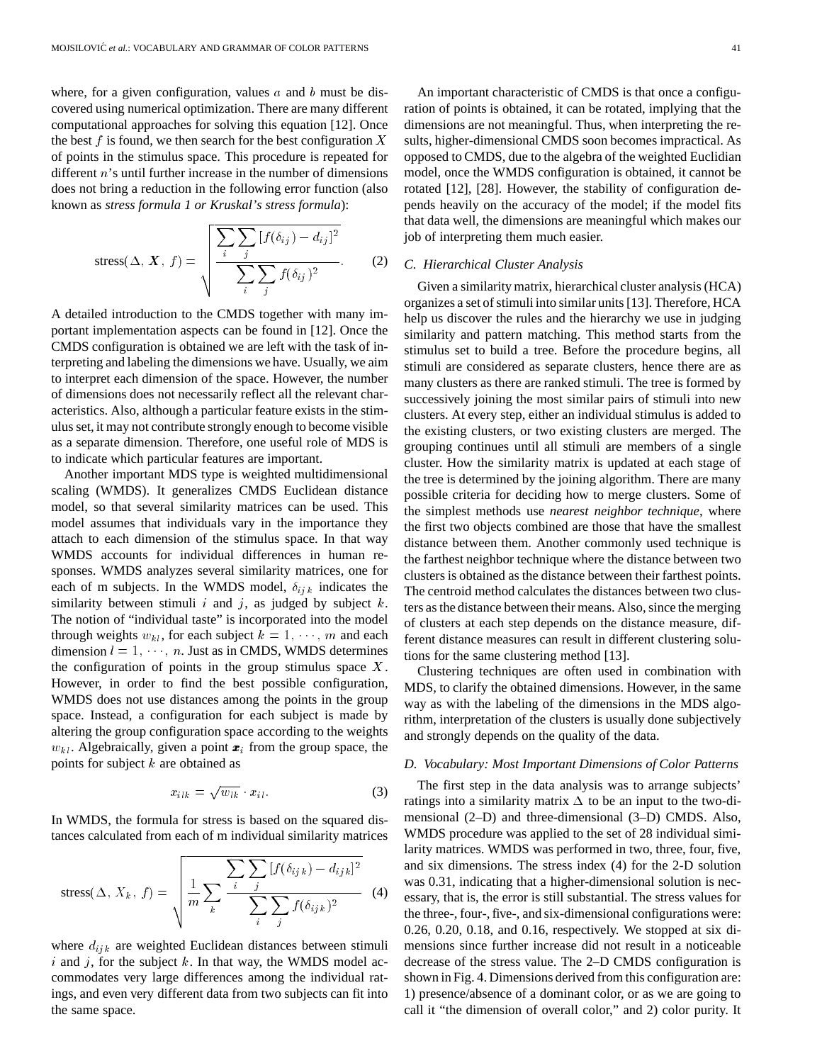where, for a given configuration, values  $a$  and  $b$  must be discovered using numerical optimization. There are many different computational approaches for solving this equation [12]. Once the best f is found, we then search for the best configuration  $\boldsymbol{X}$ of points in the stimulus space. This procedure is repeated for different n's until further increase in the number of dimensions does not bring a reduction in the following error function (also known as *stress formula 1 or Kruskal's stress formula*):

stress(
$$
\Delta
$$
,  $X$ ,  $f$ ) = 
$$
\sqrt{\frac{\sum_{i} \sum_{j} [f(\delta_{ij}) - d_{ij}]^{2}}{\sum_{i} \sum_{j} f(\delta_{ij})^{2}}}
$$
 (2)

A detailed introduction to the CMDS together with many important implementation aspects can be found in [12]. Once the CMDS configuration is obtained we are left with the task of interpreting and labeling the dimensions we have. Usually, we aim to interpret each dimension of the space. However, the number of dimensions does not necessarily reflect all the relevant characteristics. Also, although a particular feature exists in the stimulus set, it may not contribute strongly enough to become visible as a separate dimension. Therefore, one useful role of MDS is to indicate which particular features are important.

Another important MDS type is weighted multidimensional scaling (WMDS). It generalizes CMDS Euclidean distance model, so that several similarity matrices can be used. This model assumes that individuals vary in the importance they attach to each dimension of the stimulus space. In that way WMDS accounts for individual differences in human responses. WMDS analyzes several similarity matrices, one for each of m subjects. In the WMDS model,  $\delta_{ijk}$  indicates the similarity between stimuli  $i$  and  $j$ , as judged by subject  $k$ . The notion of "individual taste" is incorporated into the model through weights  $w_{kl}$ , for each subject  $k = 1, \dots, m$  and each dimension  $l = 1, \dots, n$ . Just as in CMDS, WMDS determines the configuration of points in the group stimulus space  $X$ . However, in order to find the best possible configuration, WMDS does not use distances among the points in the group space. Instead, a configuration for each subject is made by altering the group configuration space according to the weights  $w_{kl}$ . Algebraically, given a point  $\boldsymbol{x}_i$  from the group space, the points for subject  $k$  are obtained as

$$
x_{ilk} = \sqrt{w_{lk}} \cdot x_{il}.\tag{3}
$$

In WMDS, the formula for stress is based on the squared distances calculated from each of m individual similarity matrices

stress(
$$
\Delta
$$
,  $X_k$ ,  $f$ ) = 
$$
\sqrt{\frac{1}{m} \sum_{k} \frac{\sum_{j} \sum_{j} [f(\delta_{ijk}) - d_{ijk}]^2}{\sum_{i} \sum_{j} f(\delta_{ijk})^2}}
$$
(4)

where  $d_{ijk}$  are weighted Euclidean distances between stimuli i and j, for the subject  $k$ . In that way, the WMDS model accommodates very large differences among the individual ratings, and even very different data from two subjects can fit into the same space.

An important characteristic of CMDS is that once a configuration of points is obtained, it can be rotated, implying that the dimensions are not meaningful. Thus, when interpreting the results, higher-dimensional CMDS soon becomes impractical. As opposed to CMDS, due to the algebra of the weighted Euclidian model, once the WMDS configuration is obtained, it cannot be rotated [12], [28]. However, the stability of configuration depends heavily on the accuracy of the model; if the model fits that data well, the dimensions are meaningful which makes our job of interpreting them much easier.

#### *C. Hierarchical Cluster Analysis*

Given a similarity matrix, hierarchical cluster analysis (HCA) organizes a set of stimuli into similar units [13]. Therefore, HCA help us discover the rules and the hierarchy we use in judging similarity and pattern matching. This method starts from the stimulus set to build a tree. Before the procedure begins, all stimuli are considered as separate clusters, hence there are as many clusters as there are ranked stimuli. The tree is formed by successively joining the most similar pairs of stimuli into new clusters. At every step, either an individual stimulus is added to the existing clusters, or two existing clusters are merged. The grouping continues until all stimuli are members of a single cluster. How the similarity matrix is updated at each stage of the tree is determined by the joining algorithm. There are many possible criteria for deciding how to merge clusters. Some of the simplest methods use *nearest neighbor technique*, where the first two objects combined are those that have the smallest distance between them. Another commonly used technique is the farthest neighbor technique where the distance between two clusters is obtained as the distance between their farthest points. The centroid method calculates the distances between two clusters as the distance between their means. Also, since the merging of clusters at each step depends on the distance measure, different distance measures can result in different clustering solutions for the same clustering method [13].

Clustering techniques are often used in combination with MDS, to clarify the obtained dimensions. However, in the same way as with the labeling of the dimensions in the MDS algorithm, interpretation of the clusters is usually done subjectively and strongly depends on the quality of the data.

#### *D. Vocabulary: Most Important Dimensions of Color Patterns*

The first step in the data analysis was to arrange subjects' ratings into a similarity matrix  $\Delta$  to be an input to the two-dimensional (2–D) and three-dimensional (3–D) CMDS. Also, WMDS procedure was applied to the set of 28 individual similarity matrices. WMDS was performed in two, three, four, five, and six dimensions. The stress index (4) for the 2-D solution was 0.31, indicating that a higher-dimensional solution is necessary, that is, the error is still substantial. The stress values for the three-, four-,five-, and six-dimensional configurations were: 0.26, 0.20, 0.18, and 0.16, respectively. We stopped at six dimensions since further increase did not result in a noticeable decrease of the stress value. The 2–D CMDS configuration is shown in Fig. 4. Dimensions derived from this configuration are: 1) presence/absence of a dominant color, or as we are going to call it "the dimension of overall color," and 2) color purity. It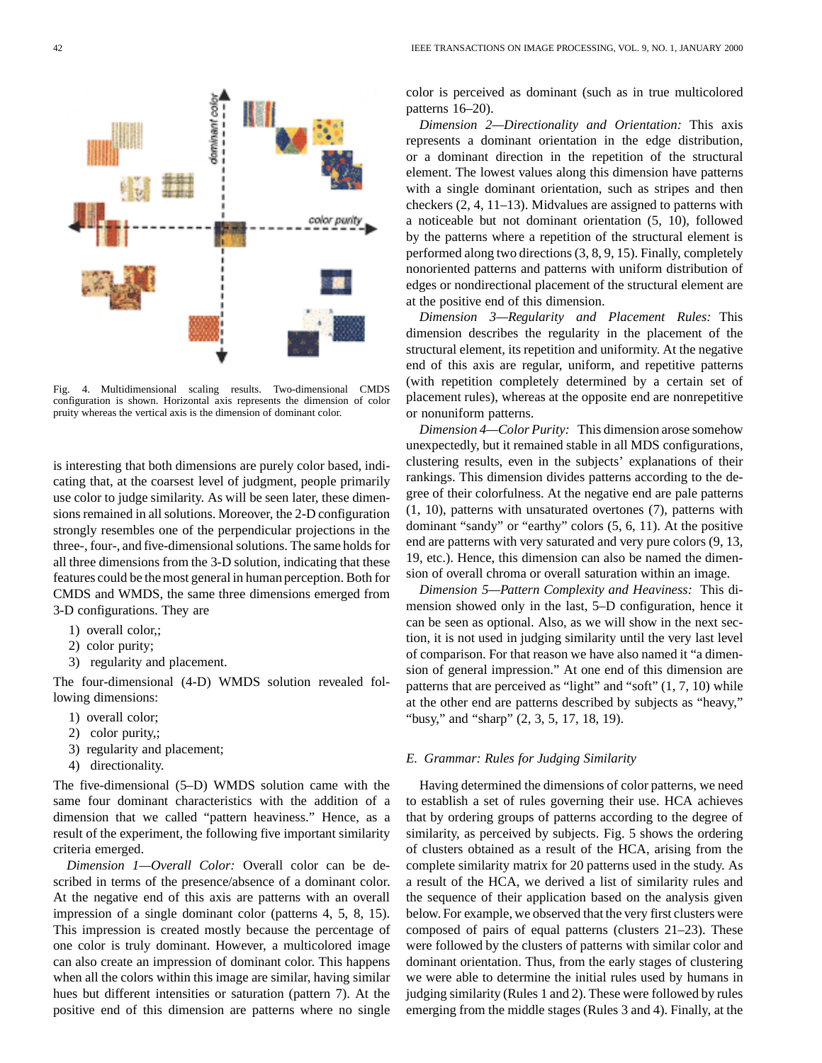Fig. 4. Multidimensional scaling results. Two-dimensional CMDS configuration is shown. Horizontal axis represents the dimension of color pruity whereas the vertical axis is the dimension of dominant color.

is interesting that both dimensions are purely color based, indicating that, at the coarsest level of judgment, people primarily use color to judge similarity. As will be seen later, these dimensions remained in all solutions. Moreover, the 2-D configuration strongly resembles one of the perpendicular projections in the three-, four-, and five-dimensional solutions. The same holds for all three dimensions from the 3-D solution, indicating that these features could be the most general in human perception. Both for CMDS and WMDS, the same three dimensions emerged from 3-D configurations. They are

- 1) overall color,;
- 2) color purity;
- 3) regularity and placement.

The four-dimensional (4-D) WMDS solution revealed following dimensions:

- 1) overall color;
- 2) color purity,;
- 3) regularity and placement;
- 4) directionality.

The five-dimensional (5–D) WMDS solution came with the same four dominant characteristics with the addition of a dimension that we called "pattern heaviness." Hence, as a result of the experiment, the following five important similarity criteria emerged.

*Dimension 1—Overall Color:* Overall color can be described in terms of the presence/absence of a dominant color. At the negative end of this axis are patterns with an overall impression of a single dominant color (patterns 4, 5, 8, 15). This impression is created mostly because the percentage of one color is truly dominant. However, a multicolored image can also create an impression of dominant color. This happens when all the colors within this image are similar, having similar hues but different intensities or saturation (pattern 7). At the positive end of this dimension are patterns where no single color is perceived as dominant (such as in true multicolored patterns 16–20).

*Dimension 2—Directionality and Orientation:* This axis represents a dominant orientation in the edge distribution, or a dominant direction in the repetition of the structural element. The lowest values along this dimension have patterns with a single dominant orientation, such as stripes and then checkers (2, 4, 11–13). Midvalues are assigned to patterns with a noticeable but not dominant orientation (5, 10), followed by the patterns where a repetition of the structural element is performed along two directions (3, 8, 9, 15). Finally, completely nonoriented patterns and patterns with uniform distribution of edges or nondirectional placement of the structural element are at the positive end of this dimension.

*Dimension 3—Regularity and Placement Rules:* This dimension describes the regularity in the placement of the structural element, its repetition and uniformity. At the negative end of this axis are regular, uniform, and repetitive patterns (with repetition completely determined by a certain set of placement rules), whereas at the opposite end are nonrepetitive or nonuniform patterns.

*Dimension 4—Color Purity:* This dimension arose somehow unexpectedly, but it remained stable in all MDS configurations, clustering results, even in the subjects' explanations of their rankings. This dimension divides patterns according to the degree of their colorfulness. At the negative end are pale patterns (1, 10), patterns with unsaturated overtones (7), patterns with dominant "sandy" or "earthy" colors (5, 6, 11). At the positive end are patterns with very saturated and very pure colors (9, 13, 19, etc.). Hence, this dimension can also be named the dimension of overall chroma or overall saturation within an image.

*Dimension 5—Pattern Complexity and Heaviness:* This dimension showed only in the last, 5–D configuration, hence it can be seen as optional. Also, as we will show in the next section, it is not used in judging similarity until the very last level of comparison. For that reason we have also named it "a dimension of general impression." At one end of this dimension are patterns that are perceived as "light" and "soft" (1, 7, 10) while at the other end are patterns described by subjects as "heavy," "busy," and "sharp" (2, 3, 5, 17, 18, 19).

## *E. Grammar: Rules for Judging Similarity*

Having determined the dimensions of color patterns, we need to establish a set of rules governing their use. HCA achieves that by ordering groups of patterns according to the degree of similarity, as perceived by subjects. Fig. 5 shows the ordering of clusters obtained as a result of the HCA, arising from the complete similarity matrix for 20 patterns used in the study. As a result of the HCA, we derived a list of similarity rules and the sequence of their application based on the analysis given below. For example, we observed that the very first clusters were composed of pairs of equal patterns (clusters 21–23). These were followed by the clusters of patterns with similar color and dominant orientation. Thus, from the early stages of clustering we were able to determine the initial rules used by humans in judging similarity (Rules 1 and 2). These were followed by rules emerging from the middle stages (Rules 3 and 4). Finally, at the

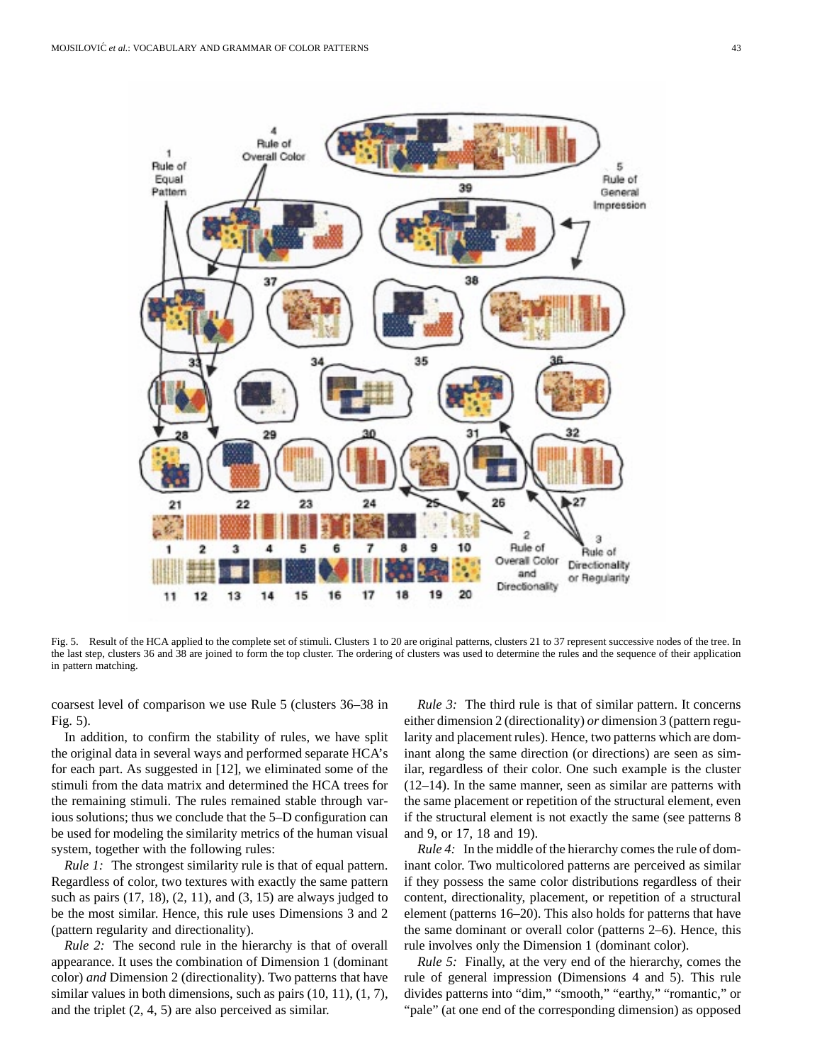

Fig. 5. Result of the HCA applied to the complete set of stimuli. Clusters 1 to 20 are original patterns, clusters 21 to 37 represent successive nodes of the tree. In the last step, clusters 36 and 38 are joined to form the top cluster. The ordering of clusters was used to determine the rules and the sequence of their application in pattern matching.

coarsest level of comparison we use Rule 5 (clusters 36–38 in Fig. 5).

In addition, to confirm the stability of rules, we have split the original data in several ways and performed separate HCA's for each part. As suggested in [12], we eliminated some of the stimuli from the data matrix and determined the HCA trees for the remaining stimuli. The rules remained stable through various solutions; thus we conclude that the 5–D configuration can be used for modeling the similarity metrics of the human visual system, together with the following rules:

*Rule 1:* The strongest similarity rule is that of equal pattern. Regardless of color, two textures with exactly the same pattern such as pairs  $(17, 18)$ ,  $(2, 11)$ , and  $(3, 15)$  are always judged to be the most similar. Hence, this rule uses Dimensions 3 and 2 (pattern regularity and directionality).

*Rule 2:* The second rule in the hierarchy is that of overall appearance. It uses the combination of Dimension 1 (dominant color) *and* Dimension 2 (directionality). Two patterns that have similar values in both dimensions, such as pairs  $(10, 11)$ ,  $(1, 7)$ , and the triplet (2, 4, 5) are also perceived as similar.

*Rule 3:* The third rule is that of similar pattern. It concerns either dimension 2 (directionality) *or* dimension 3 (pattern regularity and placement rules). Hence, two patterns which are dominant along the same direction (or directions) are seen as similar, regardless of their color. One such example is the cluster (12–14). In the same manner, seen as similar are patterns with the same placement or repetition of the structural element, even if the structural element is not exactly the same (see patterns 8 and 9, or 17, 18 and 19).

*Rule 4:* In the middle of the hierarchy comes the rule of dominant color. Two multicolored patterns are perceived as similar if they possess the same color distributions regardless of their content, directionality, placement, or repetition of a structural element (patterns 16–20). This also holds for patterns that have the same dominant or overall color (patterns 2–6). Hence, this rule involves only the Dimension 1 (dominant color).

*Rule 5:* Finally, at the very end of the hierarchy, comes the rule of general impression (Dimensions 4 and 5). This rule divides patterns into "dim," "smooth," "earthy," "romantic," or "pale" (at one end of the corresponding dimension) as opposed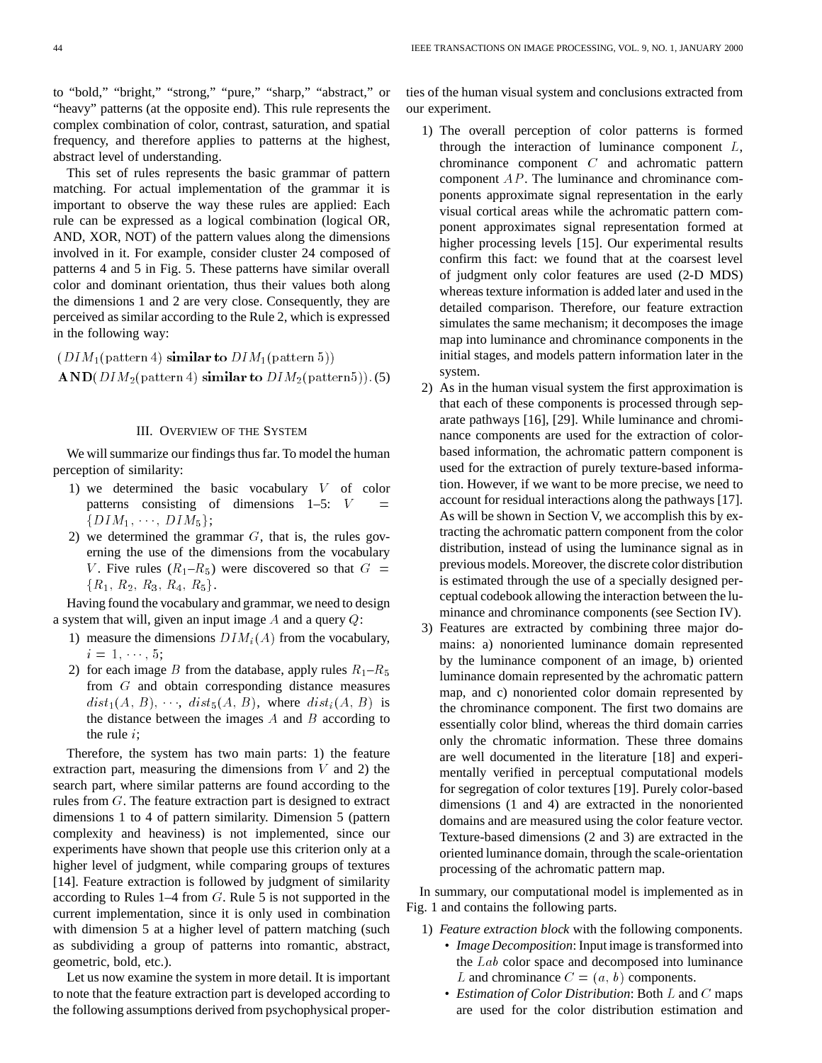to "bold," "bright," "strong," "pure," "sharp," "abstract," or "heavy" patterns (at the opposite end). This rule represents the complex combination of color, contrast, saturation, and spatial frequency, and therefore applies to patterns at the highest, abstract level of understanding.

This set of rules represents the basic grammar of pattern matching. For actual implementation of the grammar it is important to observe the way these rules are applied: Each rule can be expressed as a logical combination (logical OR, AND, XOR, NOT) of the pattern values along the dimensions involved in it. For example, consider cluster 24 composed of patterns 4 and 5 in Fig. 5. These patterns have similar overall color and dominant orientation, thus their values both along the dimensions 1 and 2 are very close. Consequently, they are perceived as similar according to the Rule 2, which is expressed in the following way:

 $(DIM<sub>1</sub>(pattern 4) similar to  $DIM<sub>1</sub>(pattern 5)$ )$  $AND(DIM<sub>2</sub>(pattern 4) similar to  $DIM<sub>2</sub>(pattern 5)$ ). (5)$ 

## III. OVERVIEW OF THE SYSTEM

We will summarize our findings thus far. To model the human perception of similarity:

- 1) we determined the basic vocabulary V of color patterns consisting of dimensions  $1-5$ :  $V =$  $\{DIM_1, \cdots, DIM_5\};$
- 2) we determined the grammar  $G$ , that is, the rules governing the use of the dimensions from the vocabulary V. Five rules  $(R_1-R_5)$  were discovered so that  $G =$  ${R_1, R_2, R_3, R_4, R_5}.$

Having found the vocabulary and grammar, we need to design a system that will, given an input image  $A$  and a query  $Q$ :

- 1) measure the dimensions  $DIM_i(A)$  from the vocabulary,  $i = 1, \dots, 5;$
- 2) for each image B from the database, apply rules  $R_1-R_5$ from G and obtain corresponding distance measures  $dist_1(A, B), \dots, dist_5(A, B)$ , where  $dist_i(A, B)$  is the distance between the images  $A$  and  $B$  according to the rule  $i$ :

Therefore, the system has two main parts: 1) the feature extraction part, measuring the dimensions from  $V$  and 2) the search part, where similar patterns are found according to the rules from G. The feature extraction part is designed to extract dimensions 1 to 4 of pattern similarity. Dimension 5 (pattern complexity and heaviness) is not implemented, since our experiments have shown that people use this criterion only at a higher level of judgment, while comparing groups of textures [14]. Feature extraction is followed by judgment of similarity according to Rules  $1-4$  from  $G$ . Rule 5 is not supported in the current implementation, since it is only used in combination with dimension 5 at a higher level of pattern matching (such as subdividing a group of patterns into romantic, abstract, geometric, bold, etc.).

Let us now examine the system in more detail. It is important to note that the feature extraction part is developed according to the following assumptions derived from psychophysical properties of the human visual system and conclusions extracted from our experiment.

- 1) The overall perception of color patterns is formed through the interaction of luminance component  $L$ , chrominance component C and achromatic pattern component AP. The luminance and chrominance components approximate signal representation in the early visual cortical areas while the achromatic pattern component approximates signal representation formed at higher processing levels [15]. Our experimental results confirm this fact: we found that at the coarsest level of judgment only color features are used (2-D MDS) whereas texture information is added later and used in the detailed comparison. Therefore, our feature extraction simulates the same mechanism; it decomposes the image map into luminance and chrominance components in the initial stages, and models pattern information later in the system.
- 2) As in the human visual system the first approximation is that each of these components is processed through separate pathways [16], [29]. While luminance and chrominance components are used for the extraction of colorbased information, the achromatic pattern component is used for the extraction of purely texture-based information. However, if we want to be more precise, we need to account for residual interactions along the pathways [17]. As will be shown in Section V, we accomplish this by extracting the achromatic pattern component from the color distribution, instead of using the luminance signal as in previous models. Moreover, the discrete color distribution is estimated through the use of a specially designed perceptual codebook allowing the interaction between the luminance and chrominance components (see Section IV).
- 3) Features are extracted by combining three major domains: a) nonoriented luminance domain represented by the luminance component of an image, b) oriented luminance domain represented by the achromatic pattern map, and c) nonoriented color domain represented by the chrominance component. The first two domains are essentially color blind, whereas the third domain carries only the chromatic information. These three domains are well documented in the literature [18] and experimentally verified in perceptual computational models for segregation of color textures [19]. Purely color-based dimensions (1 and 4) are extracted in the nonoriented domains and are measured using the color feature vector. Texture-based dimensions (2 and 3) are extracted in the oriented luminance domain, through the scale-orientation processing of the achromatic pattern map.

In summary, our computational model is implemented as in Fig. 1 and contains the following parts.

- 1) *Feature extraction block* with the following components. • *Image Decomposition*: Input image is transformed into the Lab color space and decomposed into luminance L and chrominance  $C = (a, b)$  components.
	- *Estimation of Color Distribution*: Both L and C maps are used for the color distribution estimation and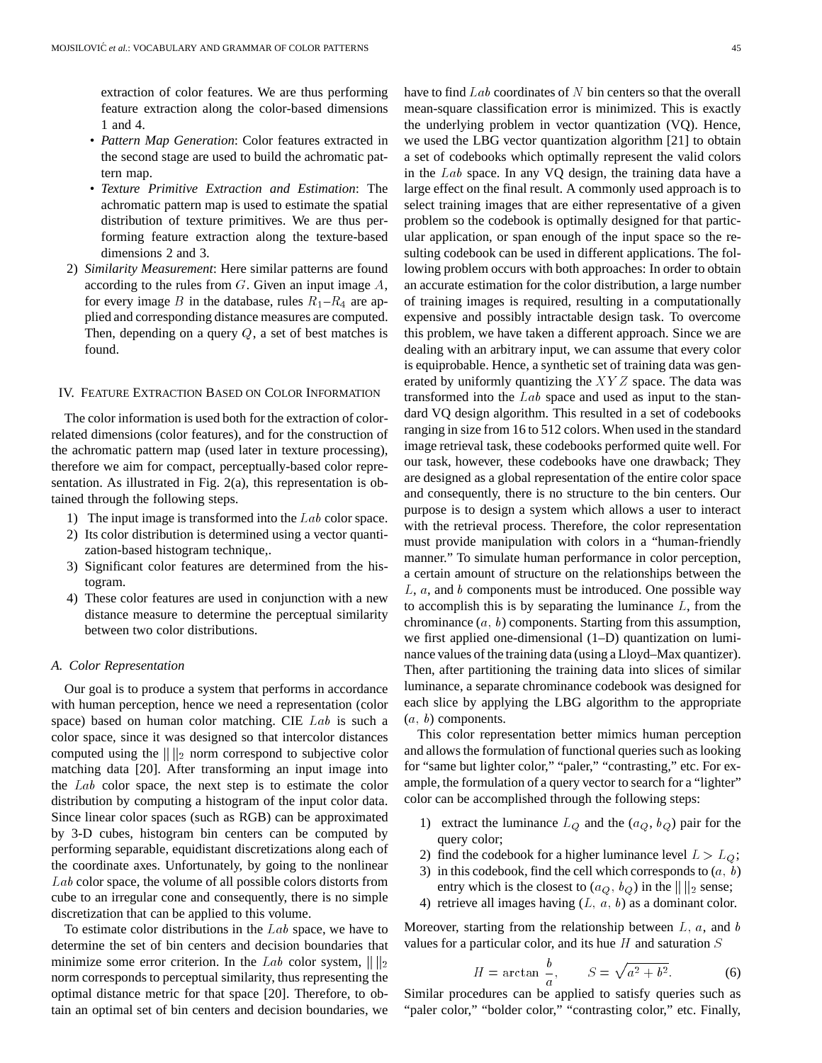extraction of color features. We are thus performing feature extraction along the color-based dimensions 1 and 4.

- *Pattern Map Generation*: Color features extracted in the second stage are used to build the achromatic pattern map.
- *Texture Primitive Extraction and Estimation*: The achromatic pattern map is used to estimate the spatial distribution of texture primitives. We are thus performing feature extraction along the texture-based dimensions 2 and 3.
- 2) *Similarity Measurement*: Here similar patterns are found according to the rules from  $G$ . Given an input image  $A$ , for every image B in the database, rules  $R_1 - R_4$  are applied and corresponding distance measures are computed. Then, depending on a query  $Q$ , a set of best matches is found.

## IV. FEATURE EXTRACTION BASED ON COLOR INFORMATION

The color information is used both for the extraction of colorrelated dimensions (color features), and for the construction of the achromatic pattern map (used later in texture processing), therefore we aim for compact, perceptually-based color representation. As illustrated in Fig. 2(a), this representation is obtained through the following steps.

- 1) The input image is transformed into the  $Lab$  color space.
- 2) Its color distribution is determined using a vector quantization-based histogram technique,.
- 3) Significant color features are determined from the histogram.
- 4) These color features are used in conjunction with a new distance measure to determine the perceptual similarity between two color distributions.

# *A. Color Representation*

Our goal is to produce a system that performs in accordance with human perception, hence we need a representation (color space) based on human color matching. CIE Lab is such a color space, since it was designed so that intercolor distances computed using the  $\| \cdot \|_2$  norm correspond to subjective color matching data [20]. After transforming an input image into the Lab color space, the next step is to estimate the color distribution by computing a histogram of the input color data. Since linear color spaces (such as RGB) can be approximated by 3-D cubes, histogram bin centers can be computed by performing separable, equidistant discretizations along each of the coordinate axes. Unfortunately, by going to the nonlinear Lab color space, the volume of all possible colors distorts from cube to an irregular cone and consequently, there is no simple discretization that can be applied to this volume.

To estimate color distributions in the  $Lab$  space, we have to determine the set of bin centers and decision boundaries that minimize some error criterion. In the Lab color system,  $\|\|_2$ norm corresponds to perceptual similarity, thus representing the optimal distance metric for that space [20]. Therefore, to obtain an optimal set of bin centers and decision boundaries, we have to find  $Lab$  coordinates of  $N$  bin centers so that the overall mean-square classification error is minimized. This is exactly the underlying problem in vector quantization (VQ). Hence, we used the LBG vector quantization algorithm [21] to obtain a set of codebooks which optimally represent the valid colors in the Lab space. In any VQ design, the training data have a large effect on the final result. A commonly used approach is to select training images that are either representative of a given problem so the codebook is optimally designed for that particular application, or span enough of the input space so the resulting codebook can be used in different applications. The following problem occurs with both approaches: In order to obtain an accurate estimation for the color distribution, a large number of training images is required, resulting in a computationally expensive and possibly intractable design task. To overcome this problem, we have taken a different approach. Since we are dealing with an arbitrary input, we can assume that every color is equiprobable. Hence, a synthetic set of training data was generated by uniformly quantizing the  $XYZ$  space. The data was transformed into the Lab space and used as input to the standard VQ design algorithm. This resulted in a set of codebooks ranging in size from 16 to 512 colors. When used in the standard image retrieval task, these codebooks performed quite well. For our task, however, these codebooks have one drawback; They are designed as a global representation of the entire color space and consequently, there is no structure to the bin centers. Our purpose is to design a system which allows a user to interact with the retrieval process. Therefore, the color representation must provide manipulation with colors in a "human-friendly manner." To simulate human performance in color perception, a certain amount of structure on the relationships between the  $L, a$ , and b components must be introduced. One possible way to accomplish this is by separating the luminance  $L$ , from the chrominance  $(a, b)$  components. Starting from this assumption, we first applied one-dimensional (1–D) quantization on luminance values of the training data (using a Lloyd–Max quantizer). Then, after partitioning the training data into slices of similar luminance, a separate chrominance codebook was designed for each slice by applying the LBG algorithm to the appropriate  $(a, b)$  components.

This color representation better mimics human perception and allows the formulation of functional queries such as looking for "same but lighter color," "paler," "contrasting," etc. For example, the formulation of a query vector to search for a "lighter" color can be accomplished through the following steps:

- 1) extract the luminance  $L_Q$  and the  $(a_Q, b_Q)$  pair for the query color;
- 2) find the codebook for a higher luminance level  $L>LQ$ ;
- 3) in this codebook, find the cell which corresponds to  $(a, b)$ entry which is the closest to  $(a_Q, b_Q)$  in the  $\| \|_2$  sense;
- 4) retrieve all images having  $(L, a, b)$  as a dominant color.

Moreover, starting from the relationship between  $L, a$ , and  $b$ values for a particular color, and its hue  $H$  and saturation  $S$ 

$$
H = \arctan \frac{b}{a}, \qquad S = \sqrt{a^2 + b^2}.
$$
 (6)

Similar procedures can be applied to satisfy queries such as "paler color," "bolder color," "contrasting color," etc. Finally,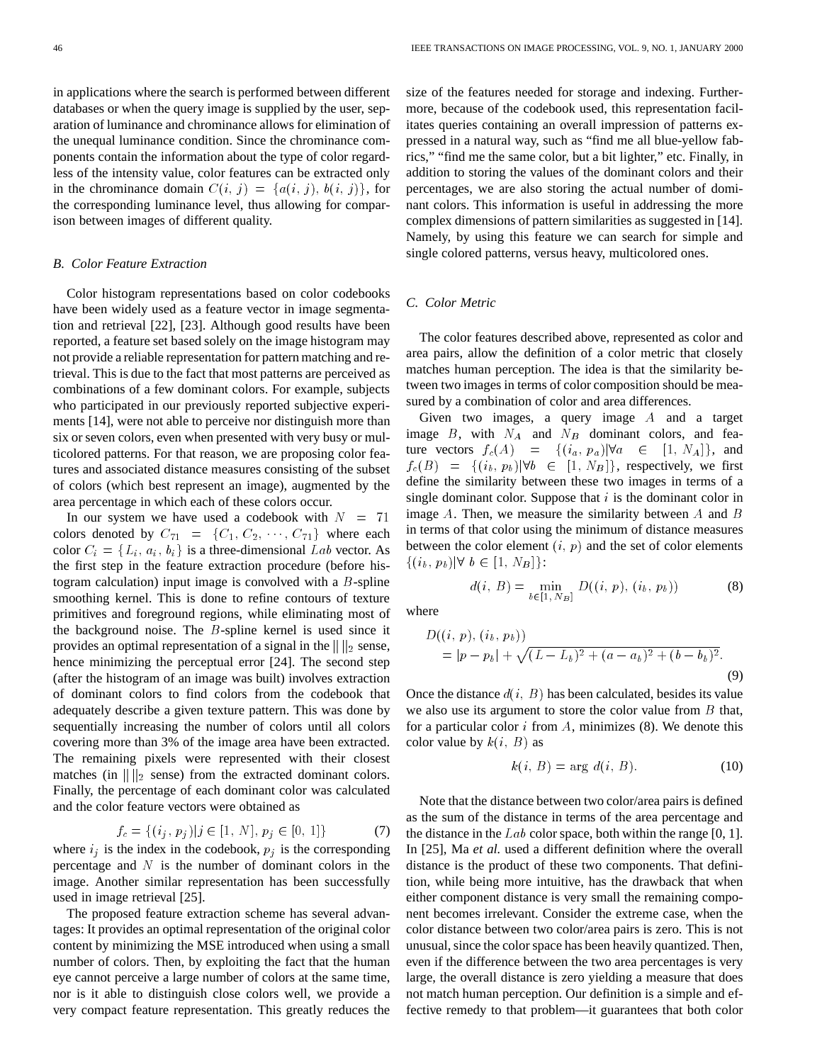in applications where the search is performed between different databases or when the query image is supplied by the user, separation of luminance and chrominance allows for elimination of the unequal luminance condition. Since the chrominance components contain the information about the type of color regardless of the intensity value, color features can be extracted only in the chrominance domain  $C(i, j) = \{a(i, j), b(i, j)\}\text{, for}$ the corresponding luminance level, thus allowing for comparison between images of different quality.

# *B. Color Feature Extraction*

Color histogram representations based on color codebooks have been widely used as a feature vector in image segmentation and retrieval [22], [23]. Although good results have been reported, a feature set based solely on the image histogram may not provide a reliable representation for pattern matching and retrieval. This is due to the fact that most patterns are perceived as combinations of a few dominant colors. For example, subjects who participated in our previously reported subjective experiments [14], were not able to perceive nor distinguish more than six or seven colors, even when presented with very busy or multicolored patterns. For that reason, we are proposing color features and associated distance measures consisting of the subset of colors (which best represent an image), augmented by the area percentage in which each of these colors occur.

In our system we have used a codebook with  $N = 71$ colors denoted by  $C_{71} = \{C_1, C_2, \cdots, C_{71}\}\$  where each color  $C_i = \{L_i, a_i, b_i\}$  is a three-dimensional Lab vector. As the first step in the feature extraction procedure (before histogram calculation) input image is convolved with a  $B$ -spline smoothing kernel. This is done to refine contours of texture primitives and foreground regions, while eliminating most of the background noise. The B-spline kernel is used since it provides an optimal representation of a signal in the  $\| \cdot \|_2$  sense, hence minimizing the perceptual error [24]. The second step (after the histogram of an image was built) involves extraction of dominant colors to find colors from the codebook that adequately describe a given texture pattern. This was done by sequentially increasing the number of colors until all colors covering more than 3% of the image area have been extracted. The remaining pixels were represented with their closest matches (in  $\| \cdot \|_2$  sense) from the extracted dominant colors. Finally, the percentage of each dominant color was calculated and the color feature vectors were obtained as

$$
f_c = \{(i_j, p_j)|j \in [1, N], p_j \in [0, 1]\}
$$
 (7)

where  $i_j$  is the index in the codebook,  $p_j$  is the corresponding percentage and  $N$  is the number of dominant colors in the image. Another similar representation has been successfully used in image retrieval [25].

The proposed feature extraction scheme has several advantages: It provides an optimal representation of the original color content by minimizing the MSE introduced when using a small number of colors. Then, by exploiting the fact that the human eye cannot perceive a large number of colors at the same time, nor is it able to distinguish close colors well, we provide a very compact feature representation. This greatly reduces the size of the features needed for storage and indexing. Furthermore, because of the codebook used, this representation facilitates queries containing an overall impression of patterns expressed in a natural way, such as "find me all blue-yellow fabrics," "find me the same color, but a bit lighter," etc. Finally, in addition to storing the values of the dominant colors and their percentages, we are also storing the actual number of dominant colors. This information is useful in addressing the more complex dimensions of pattern similarities as suggested in [14]. Namely, by using this feature we can search for simple and single colored patterns, versus heavy, multicolored ones.

# *C. Color Metric*

The color features described above, represented as color and area pairs, allow the definition of a color metric that closely matches human perception. The idea is that the similarity between two images in terms of color composition should be measured by a combination of color and area differences.

Given two images, a query image A and a target image  $B$ , with  $N_A$  and  $N_B$  dominant colors, and feature vectors  $f_c(A) = \{(i_a, p_a)|\forall a \in [1, N_A]\},$  and  $f_c(B) = \{(i_b, p_b) | \forall b \in [1, N_B]\},$  respectively, we first define the similarity between these two images in terms of a single dominant color. Suppose that  $i$  is the dominant color in image  $A$ . Then, we measure the similarity between  $A$  and  $B$ in terms of that color using the minimum of distance measures between the color element  $(i, p)$  and the set of color elements  $\{(i_b, p_b)|\forall b \in [1, N_B]\}$ :

$$
d(i, B) = \min_{b \in [1, N_B]} D((i, p), (i_b, p_b))
$$
 (8)

where

$$
D((i, p), (i_b, p_b))
$$
  
=  $|p - p_b| + \sqrt{(L - L_b)^2 + (a - a_b)^2 + (b - b_b)^2}.$  (9)

Once the distance  $d(i, B)$  has been calculated, besides its value we also use its argument to store the color value from B that, for a particular color i from A, minimizes  $(8)$ . We denote this color value by  $k(i, B)$  as

$$
k(i, B) = \arg d(i, B). \tag{10}
$$

Note that the distance between two color/area pairs is defined as the sum of the distance in terms of the area percentage and the distance in the  $Lab$  color space, both within the range [0, 1]. In [25], Ma *et al.* used a different definition where the overall distance is the product of these two components. That definition, while being more intuitive, has the drawback that when either component distance is very small the remaining component becomes irrelevant. Consider the extreme case, when the color distance between two color/area pairs is zero. This is not unusual, since the color space has been heavily quantized. Then, even if the difference between the two area percentages is very large, the overall distance is zero yielding a measure that does not match human perception. Our definition is a simple and effective remedy to that problem—it guarantees that both color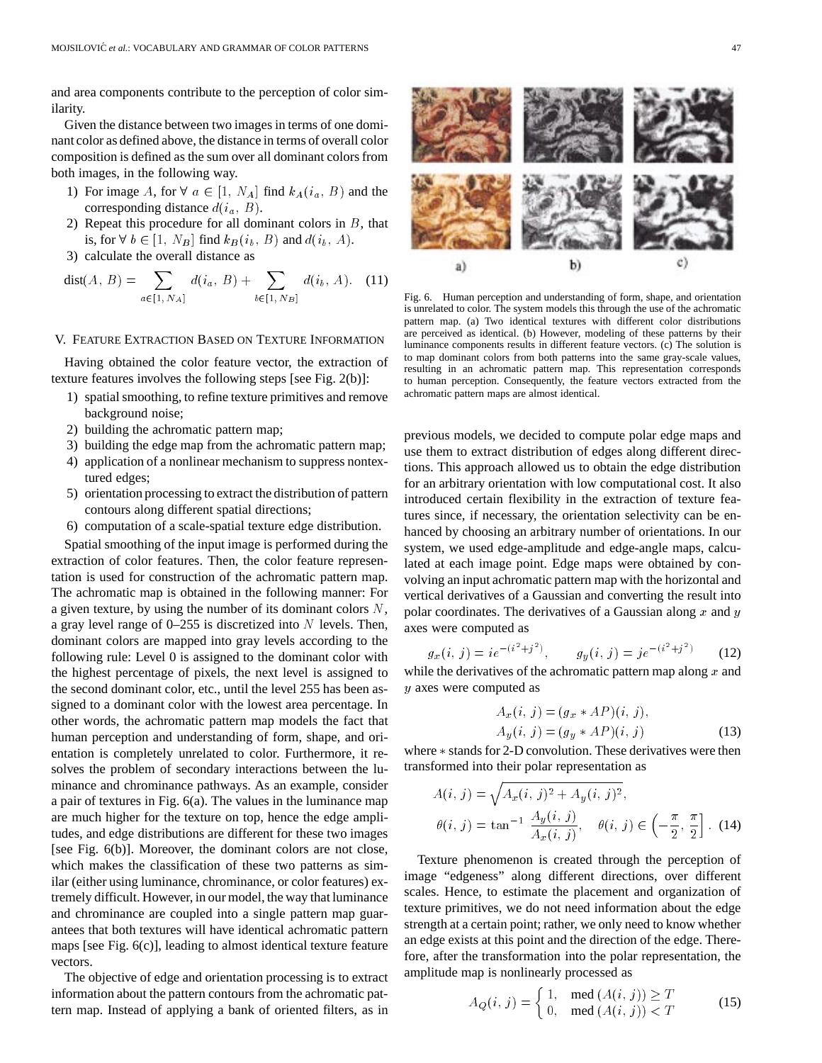and area components contribute to the perception of color similarity.

Given the distance between two images in terms of one dominant color as defined above, the distance in terms of overall color composition is defined as the sum over all dominant colors from both images, in the following way.

- 1) For image A, for  $\forall a \in [1, N_A]$  find  $k_A(i_a, B)$  and the corresponding distance  $d(i_a, B)$ .
- 2) Repeat this procedure for all dominant colors in  $B$ , that is, for  $\forall b \in [1, N_B]$  find  $k_B(i_b, B)$  and  $d(i_b, A)$ .
- 3) calculate the overall distance as

$$
dist(A, B) = \sum_{a \in [1, N_A]} d(i_a, B) + \sum_{b \in [1, N_B]} d(i_b, A). \quad (11)
$$

#### V. FEATURE EXTRACTION BASED ON TEXTURE INFORMATION

Having obtained the color feature vector, the extraction of texture features involves the following steps [see Fig. 2(b)]:

- 1) spatial smoothing, to refine texture primitives and remove background noise;
- 2) building the achromatic pattern map;
- 3) building the edge map from the achromatic pattern map;
- 4) application of a nonlinear mechanism to suppress nontextured edges;
- 5) orientation processing to extract the distribution of pattern contours along different spatial directions;
- 6) computation of a scale-spatial texture edge distribution.

Spatial smoothing of the input image is performed during the extraction of color features. Then, the color feature representation is used for construction of the achromatic pattern map. The achromatic map is obtained in the following manner: For a given texture, by using the number of its dominant colors  $N$ , a gray level range of  $0-255$  is discretized into N levels. Then, dominant colors are mapped into gray levels according to the following rule: Level 0 is assigned to the dominant color with the highest percentage of pixels, the next level is assigned to the second dominant color, etc., until the level 255 has been assigned to a dominant color with the lowest area percentage. In other words, the achromatic pattern map models the fact that human perception and understanding of form, shape, and orientation is completely unrelated to color. Furthermore, it resolves the problem of secondary interactions between the luminance and chrominance pathways. As an example, consider a pair of textures in Fig. 6(a). The values in the luminance map are much higher for the texture on top, hence the edge amplitudes, and edge distributions are different for these two images [see Fig. 6(b)]. Moreover, the dominant colors are not close, which makes the classification of these two patterns as similar (either using luminance, chrominance, or color features) extremely difficult. However, in our model, the way that luminance and chrominance are coupled into a single pattern map guarantees that both textures will have identical achromatic pattern maps [see Fig. 6(c)], leading to almost identical texture feature vectors.

The objective of edge and orientation processing is to extract information about the pattern contours from the achromatic pattern map. Instead of applying a bank of oriented filters, as in



Fig. 6. Human perception and understanding of form, shape, and orientation is unrelated to color. The system models this through the use of the achromatic pattern map. (a) Two identical textures with different color distributions are perceived as identical. (b) However, modeling of these patterns by their luminance components results in different feature vectors. (c) The solution is to map dominant colors from both patterns into the same gray-scale values, resulting in an achromatic pattern map. This representation corresponds to human perception. Consequently, the feature vectors extracted from the achromatic pattern maps are almost identical.

previous models, we decided to compute polar edge maps and use them to extract distribution of edges along different directions. This approach allowed us to obtain the edge distribution for an arbitrary orientation with low computational cost. It also introduced certain flexibility in the extraction of texture features since, if necessary, the orientation selectivity can be enhanced by choosing an arbitrary number of orientations. In our system, we used edge-amplitude and edge-angle maps, calculated at each image point. Edge maps were obtained by convolving an input achromatic pattern map with the horizontal and vertical derivatives of a Gaussian and converting the result into polar coordinates. The derivatives of a Gaussian along  $x$  and  $y$ axes were computed as

$$
g_x(i, j) = ie^{-(i^2+j^2)}, \qquad g_y(i, j) = je^{-(i^2+j^2)} \tag{12}
$$

while the derivatives of the achromatic pattern map along  $x$  and y axes were computed as

$$
A_x(i, j) = (g_x * AP)(i, j),
$$
  
\n
$$
A_y(i, j) = (g_y * AP)(i, j)
$$
\n(13)

where  $*$  stands for 2-D convolution. These derivatives were then transformed into their polar representation as

$$
A(i, j) = \sqrt{A_x(i, j)^2 + A_y(i, j)^2},
$$
  
\n
$$
\theta(i, j) = \tan^{-1} \frac{A_y(i, j)}{A_x(i, j)}, \quad \theta(i, j) \in \left(-\frac{\pi}{2}, \frac{\pi}{2}\right].
$$
 (14)

Texture phenomenon is created through the perception of image "edgeness" along different directions, over different scales. Hence, to estimate the placement and organization of texture primitives, we do not need information about the edge strength at a certain point; rather, we only need to know whether an edge exists at this point and the direction of the edge. Therefore, after the transformation into the polar representation, the amplitude map is nonlinearly processed as

$$
A_Q(i, j) = \begin{cases} 1, & \text{med } (A(i, j)) \ge T \\ 0, & \text{med } (A(i, j)) < T \end{cases}
$$
 (15)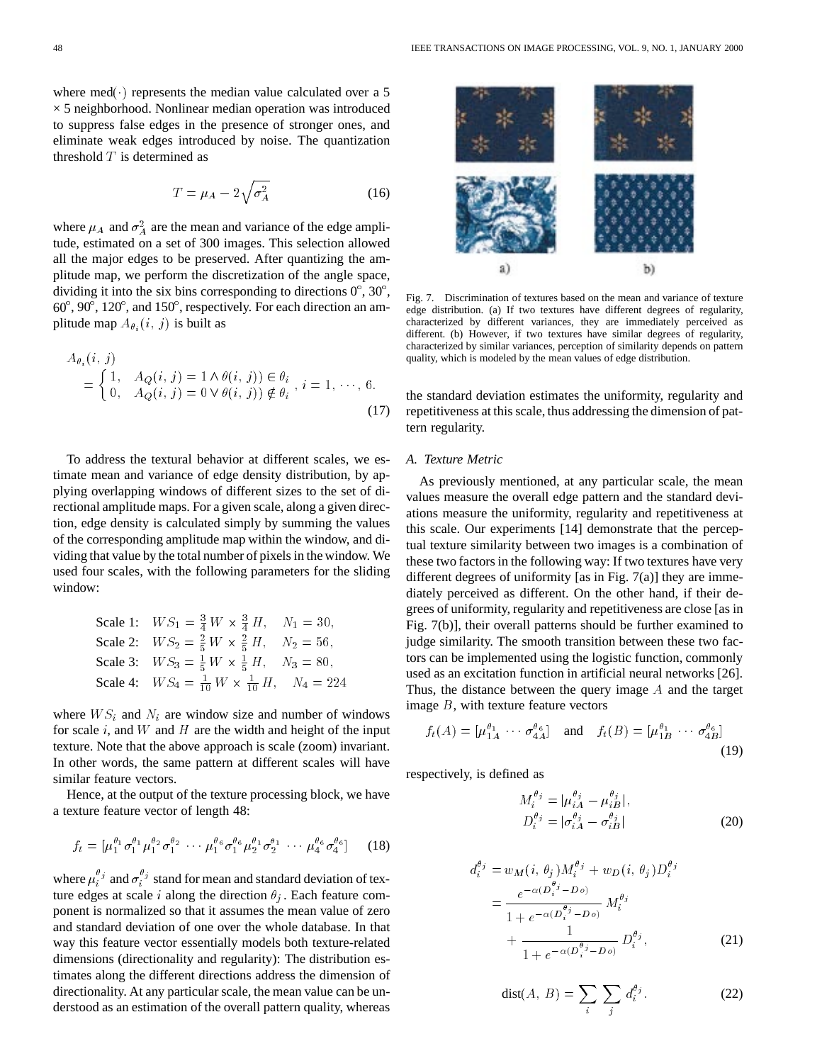where med $(\cdot)$  represents the median value calculated over a 5  $\times$  5 neighborhood. Nonlinear median operation was introduced to suppress false edges in the presence of stronger ones, and eliminate weak edges introduced by noise. The quantization threshold  $T$  is determined as

$$
T = \mu_A - 2\sqrt{\sigma_A^2} \tag{16}
$$

where  $\mu_A$  and  $\sigma_A^2$  are the mean and variance of the edge amplitude, estimated on a set of 300 images. This selection allowed all the major edges to be preserved. After quantizing the amplitude map, we perform the discretization of the angle space, dividing it into the six bins corresponding to directions  $0^{\circ}$ ,  $30^{\circ}$ , 60 , 90 , 120 , and 150 , respectively. For each direction an amplitude map  $A_{\theta_i}(i, j)$  is built as

$$
A_{\theta_i}(i, j) = \begin{cases} 1, & A_Q(i, j) = 1 \land \theta(i, j) \in \theta_i \\ 0, & A_Q(i, j) = 0 \lor \theta(i, j) \notin \theta_i \end{cases}, i = 1, \dots, 6.
$$
\n(17)

To address the textural behavior at different scales, we estimate mean and variance of edge density distribution, by applying overlapping windows of different sizes to the set of directional amplitude maps. For a given scale, along a given direction, edge density is calculated simply by summing the values of the corresponding amplitude map within the window, and dividing that value by the total number of pixels in the window. We used four scales, with the following parameters for the sliding window:

Scale 1: 
$$
WS_1 = \frac{3}{4} W \times \frac{3}{4} H
$$
,  $N_1 = 30$ ,  
\nScale 2:  $WS_2 = \frac{2}{5} W \times \frac{2}{5} H$ ,  $N_2 = 56$ ,  
\nScale 3:  $WS_3 = \frac{1}{5} W \times \frac{1}{5} H$ ,  $N_3 = 80$ ,  
\nScale 4:  $WS_4 = \frac{1}{10} W \times \frac{1}{10} H$ ,  $N_4 = 224$ 

where  $WS_i$  and  $N_i$  are window size and number of windows for scale  $i$ , and  $W$  and  $H$  are the width and height of the input texture. Note that the above approach is scale (zoom) invariant. In other words, the same pattern at different scales will have similar feature vectors.

Hence, at the output of the texture processing block, we have a texture feature vector of length 48:

$$
f_t = \left[ \mu_1^{\theta_1} \sigma_1^{\theta_1} \mu_1^{\theta_2} \sigma_1^{\theta_2} \cdots \mu_1^{\theta_6} \sigma_1^{\theta_6} \mu_2^{\theta_1} \sigma_2^{\theta_1} \cdots \mu_4^{\theta_6} \sigma_4^{\theta_6} \right] \tag{18}
$$

where  $\mu_i^{\theta_j}$  and  $\sigma_i^{\theta_j}$  stand for mean and standard deviation of texture edges at scale i along the direction  $\theta_i$ . Each feature component is normalized so that it assumes the mean value of zero and standard deviation of one over the whole database. In that way this feature vector essentially models both texture-related dimensions (directionality and regularity): The distribution estimates along the different directions address the dimension of directionality. At any particular scale, the mean value can be understood as an estimation of the overall pattern quality, whereas



Fig. 7. Discrimination of textures based on the mean and variance of texture edge distribution. (a) If two textures have different degrees of regularity, characterized by different variances, they are immediately perceived as different. (b) However, if two textures have similar degrees of regularity, characterized by similar variances, perception of similarity depends on pattern quality, which is modeled by the mean values of edge distribution.

the standard deviation estimates the uniformity, regularity and repetitiveness at this scale, thus addressing the dimension of pattern regularity.

## *A. Texture Metric*

As previously mentioned, at any particular scale, the mean values measure the overall edge pattern and the standard deviations measure the uniformity, regularity and repetitiveness at this scale. Our experiments [14] demonstrate that the perceptual texture similarity between two images is a combination of these two factors in the following way: If two textures have very different degrees of uniformity [as in Fig. 7(a)] they are immediately perceived as different. On the other hand, if their degrees of uniformity, regularity and repetitiveness are close [as in Fig. 7(b)], their overall patterns should be further examined to judge similarity. The smooth transition between these two factors can be implemented using the logistic function, commonly used as an excitation function in artificial neural networks [26]. Thus, the distance between the query image A and the target image  $B$ , with texture feature vectors

$$
f_t(A) = [\mu_{1A}^{\theta_1} \cdots \sigma_{4A}^{\theta_6}] \quad \text{and} \quad f_t(B) = [\mu_{1B}^{\theta_1} \cdots \sigma_{4B}^{\theta_6}] \tag{19}
$$

respectively, is defined as

$$
M_i^{\theta_j} = |\mu_{iA}^{\theta_j} - \mu_{iB}^{\theta_j}|,
$$
  
\n
$$
D_i^{\theta_j} = |\sigma_{iA}^{\theta_j} - \sigma_{iB}^{\theta_j}|
$$
\n(20)

$$
d_i^{\theta_j} = w_M(i, \theta_j) M_i^{\theta_j} + w_D(i, \theta_j) D_i^{\theta_j}
$$
  
= 
$$
\frac{e^{-\alpha (D_i^{\theta_j} - D_o)}}{1 + e^{-\alpha (D_i^{\theta_j} - D_o)}} M_i^{\theta_j}
$$
  
+ 
$$
\frac{1}{1 + e^{-\alpha (D_i^{\theta_j} - D_o)}} D_i^{\theta_j},
$$
 (21)

$$
dist(A, B) = \sum_{i} \sum_{j} d_i^{\theta_j}.
$$
 (22)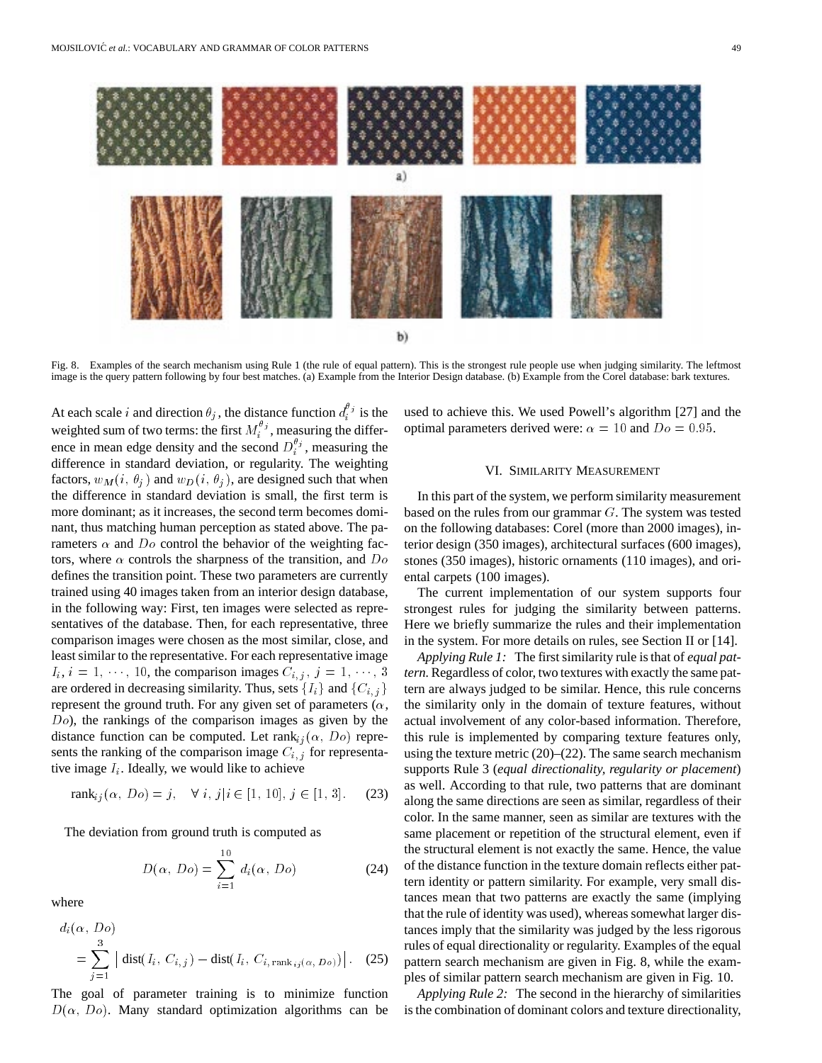

Fig. 8. Examples of the search mechanism using Rule 1 (the rule of equal pattern). This is the strongest rule people use when judging similarity. The leftmost image is the query pattern following by four best matches. (a) Example from the Interior Design database. (b) Example from the Corel database: bark textures.

At each scale i and direction  $\theta_j$ , the distance function  $d_i^{\theta_j}$  is the weighted sum of two terms: the first  $M_i^{\theta_j}$ , measuring the difference in mean edge density and the second  $D_i^{\theta_j}$ , measuring the difference in standard deviation, or regularity. The weighting factors,  $w_M(i, \theta_j)$  and  $w_D(i, \theta_j)$ , are designed such that when the difference in standard deviation is small, the first term is more dominant; as it increases, the second term becomes dominant, thus matching human perception as stated above. The parameters  $\alpha$  and  $D\sigma$  control the behavior of the weighting factors, where  $\alpha$  controls the sharpness of the transition, and  $Do$ defines the transition point. These two parameters are currently trained using 40 images taken from an interior design database, in the following way: First, ten images were selected as representatives of the database. Then, for each representative, three comparison images were chosen as the most similar, close, and least similar to the representative. For each representative image comparison images were chosen as the most similar, close, and<br>least similar to the representative. For each representative image<br> $I_i$ ,  $i = 1, \dots, 10$ , the comparison images  $C_{i,j}$ ,  $j = 1, \dots, 3$ are ordered in decreasing similarity. Thus, sets  $\{I_i\}$  and  $\{C_{i,j}\}$ represent the ground truth. For any given set of parameters  $(\alpha, \beta)$ Do), the rankings of the comparison images as given by the distance function can be computed. Let  $\text{rank}_{ij}(\alpha, Do)$  represents the ranking of the comparison image  $C_{i,j}$  for representative image  $I_i$ . Ideally, we would like to achieve

$$
rank_{ij}(\alpha, Do) = j, \quad \forall \ i, j | i \in [1, 10], j \in [1, 3]. \tag{23}
$$

The deviation from ground truth is computed as

$$
D(\alpha, Do) = \sum_{i=1}^{10} d_i(\alpha, Do)
$$
 (24)

where

$$
d_i(\alpha, Do)
$$
  
=  $\sum_{j=1}^3 |\text{dist}(I_i, C_{i,j}) - \text{dist}(I_i, C_{i, \text{rank}_{ij}(\alpha, Do)})|.$  (25)

The goal of parameter training is to minimize function  $D(\alpha, Do)$ . Many standard optimization algorithms can be used to achieve this. We used Powell's algorithm [27] and the optimal parameters derived were:  $\alpha = 10$  and  $Do = 0.95$ .

# VI. SIMILARITY MEASUREMENT

In this part of the system, we perform similarity measurement based on the rules from our grammar  $G$ . The system was tested on the following databases: Corel (more than 2000 images), interior design (350 images), architectural surfaces (600 images), stones (350 images), historic ornaments (110 images), and oriental carpets (100 images).

The current implementation of our system supports four strongest rules for judging the similarity between patterns. Here we briefly summarize the rules and their implementation in the system. For more details on rules, see Section II or [14].

*Applying Rule 1:* The first similarity rule is that of *equal pattern.*Regardless of color, two textures with exactly the same pattern are always judged to be similar. Hence, this rule concerns the similarity only in the domain of texture features, without actual involvement of any color-based information. Therefore, this rule is implemented by comparing texture features only, using the texture metric  $(20)$ – $(22)$ . The same search mechanism supports Rule 3 (*equal directionality, regularity or placement*) as well. According to that rule, two patterns that are dominant along the same directions are seen as similar, regardless of their color. In the same manner, seen as similar are textures with the same placement or repetition of the structural element, even if the structural element is not exactly the same. Hence, the value of the distance function in the texture domain reflects either pattern identity or pattern similarity. For example, very small distances mean that two patterns are exactly the same (implying that the rule of identity was used), whereas somewhat larger distances imply that the similarity was judged by the less rigorous rules of equal directionality or regularity. Examples of the equal pattern search mechanism are given in Fig. 8, while the examples of similar pattern search mechanism are given in Fig. 10.

*Applying Rule 2:* The second in the hierarchy of similarities is the combination of dominant colors and texture directionality,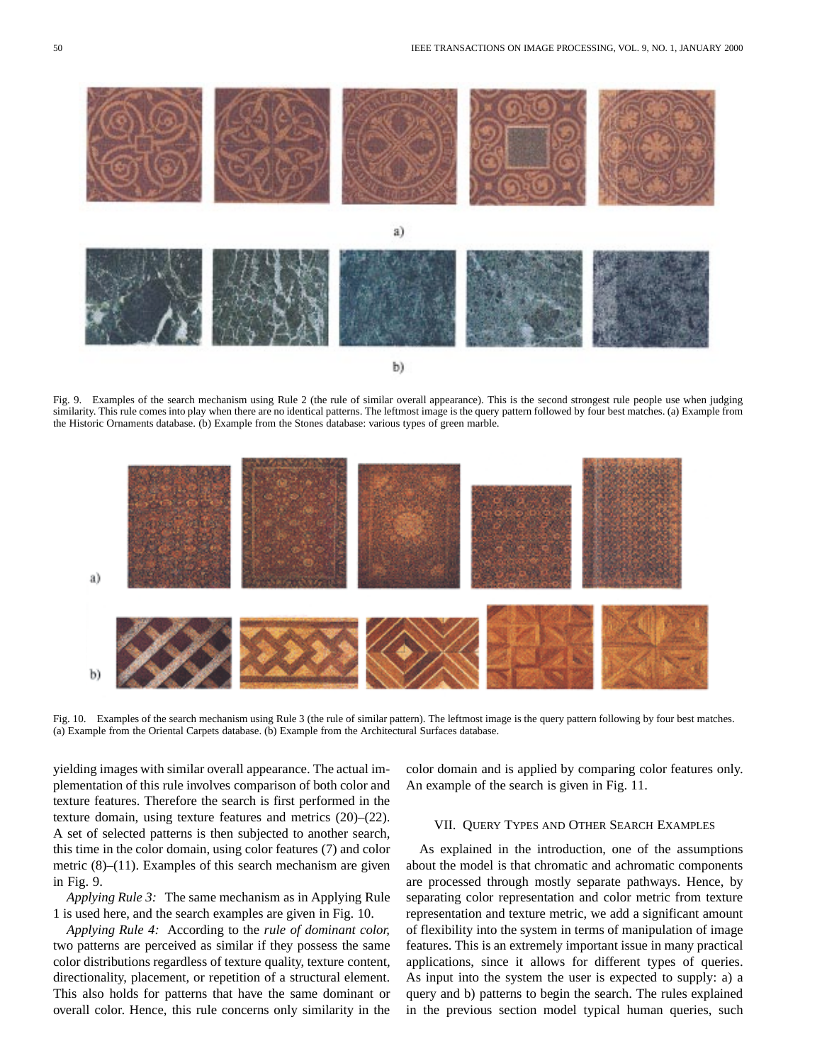

Fig. 9. Examples of the search mechanism using Rule 2 (the rule of similar overall appearance). This is the second strongest rule people use when judging similarity. This rule comes into play when there are no identical patterns. The leftmost image is the query pattern followed by four best matches. (a) Example from the Historic Ornaments database. (b) Example from the Stones database: various types of green marble.



Fig. 10. Examples of the search mechanism using Rule 3 (the rule of similar pattern). The leftmost image is the query pattern following by four best matches. (a) Example from the Oriental Carpets database. (b) Example from the Architectural Surfaces database.

yielding images with similar overall appearance. The actual implementation of this rule involves comparison of both color and texture features. Therefore the search is first performed in the texture domain, using texture features and metrics (20)–(22). A set of selected patterns is then subjected to another search, this time in the color domain, using color features (7) and color metric  $(8)$ – $(11)$ . Examples of this search mechanism are given in Fig. 9.

*Applying Rule 3:* The same mechanism as in Applying Rule 1 is used here, and the search examples are given in Fig. 10.

*Applying Rule 4:* According to the *rule of dominant color,* two patterns are perceived as similar if they possess the same color distributions regardless of texture quality, texture content, directionality, placement, or repetition of a structural element. This also holds for patterns that have the same dominant or overall color. Hence, this rule concerns only similarity in the color domain and is applied by comparing color features only. An example of the search is given in Fig. 11.

# VII. QUERY TYPES AND OTHER SEARCH EXAMPLES

As explained in the introduction, one of the assumptions about the model is that chromatic and achromatic components are processed through mostly separate pathways. Hence, by separating color representation and color metric from texture representation and texture metric, we add a significant amount of flexibility into the system in terms of manipulation of image features. This is an extremely important issue in many practical applications, since it allows for different types of queries. As input into the system the user is expected to supply: a) a query and b) patterns to begin the search. The rules explained in the previous section model typical human queries, such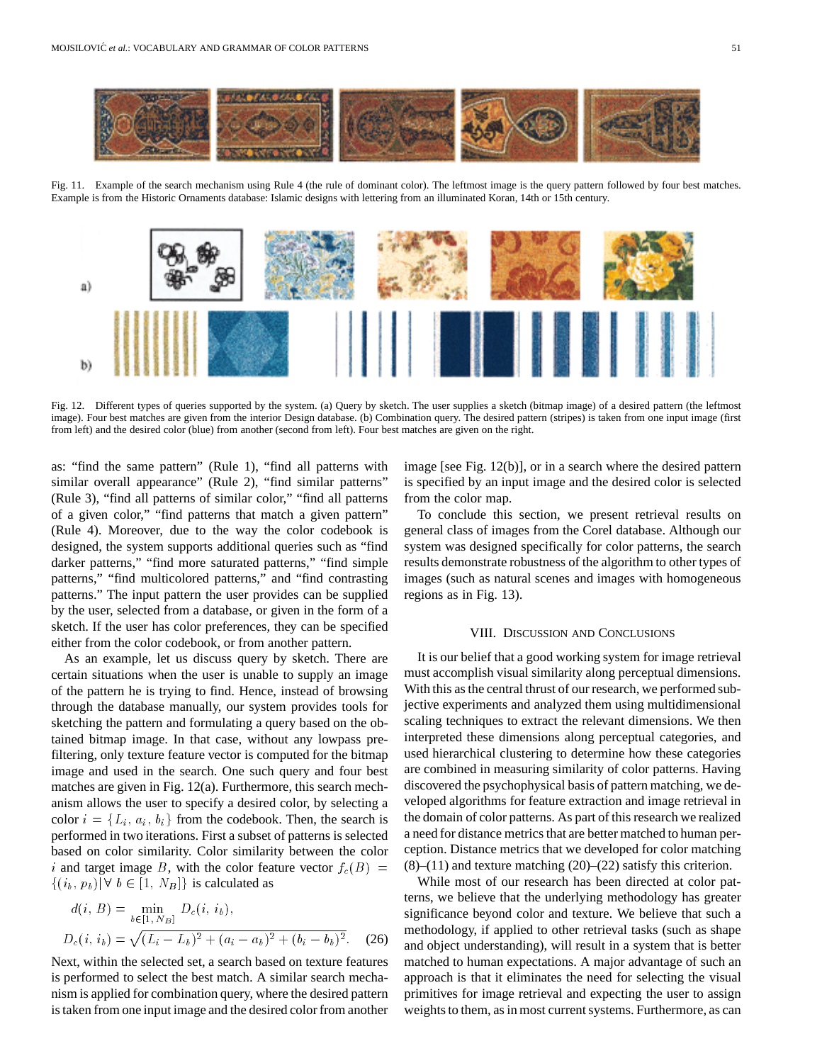

Fig. 11. Example of the search mechanism using Rule 4 (the rule of dominant color). The leftmost image is the query pattern followed by four best matches. Example is from the Historic Ornaments database: Islamic designs with lettering from an illuminated Koran, 14th or 15th century.



Fig. 12. Different types of queries supported by the system. (a) Query by sketch. The user supplies a sketch (bitmap image) of a desired pattern (the leftmost image). Four best matches are given from the interior Design database. (b) Combination query. The desired pattern (stripes) is taken from one input image (first from left) and the desired color (blue) from another (second from left). Four best matches are given on the right.

as: "find the same pattern" (Rule 1), "find all patterns with similar overall appearance" (Rule 2), "find similar patterns" (Rule 3), "find all patterns of similar color," "find all patterns of a given color," "find patterns that match a given pattern" (Rule 4). Moreover, due to the way the color codebook is designed, the system supports additional queries such as "find darker patterns," "find more saturated patterns," "find simple patterns," "find multicolored patterns," and "find contrasting patterns." The input pattern the user provides can be supplied by the user, selected from a database, or given in the form of a sketch. If the user has color preferences, they can be specified either from the color codebook, or from another pattern.

As an example, let us discuss query by sketch. There are certain situations when the user is unable to supply an image of the pattern he is trying to find. Hence, instead of browsing through the database manually, our system provides tools for sketching the pattern and formulating a query based on the obtained bitmap image. In that case, without any lowpass prefiltering, only texture feature vector is computed for the bitmap image and used in the search. One such query and four best matches are given in Fig. 12(a). Furthermore, this search mechanism allows the user to specify a desired color, by selecting a color  $i = \{L_i, a_i, b_i\}$  from the codebook. Then, the search is performed in two iterations. First a subset of patterns is selected based on color similarity. Color similarity between the color i and target image B, with the color feature vector  $f_c(B)$  =  $\{(i_b, p_b)| \forall b \in [1, N_B]\}$  is calculated as

$$
d(i, B) = \min_{b \in [1, N_B]} D_c(i, i_b),
$$
  
 
$$
D_c(i, i_b) = \sqrt{(L_i - L_b)^2 + (a_i - a_b)^2 + (b_i - b_b)^2}.
$$
 (26)

Next, within the selected set, a search based on texture features is performed to select the best match. A similar search mechanism is applied for combination query, where the desired pattern is taken from one input image and the desired color from another image [see Fig. 12(b)], or in a search where the desired pattern is specified by an input image and the desired color is selected from the color map.

To conclude this section, we present retrieval results on general class of images from the Corel database. Although our system was designed specifically for color patterns, the search results demonstrate robustness of the algorithm to other types of images (such as natural scenes and images with homogeneous regions as in Fig. 13).

### VIII. DISCUSSION AND CONCLUSIONS

It is our belief that a good working system for image retrieval must accomplish visual similarity along perceptual dimensions. With this as the central thrust of our research, we performed subjective experiments and analyzed them using multidimensional scaling techniques to extract the relevant dimensions. We then interpreted these dimensions along perceptual categories, and used hierarchical clustering to determine how these categories are combined in measuring similarity of color patterns. Having discovered the psychophysical basis of pattern matching, we developed algorithms for feature extraction and image retrieval in the domain of color patterns. As part of this research we realized a need for distance metrics that are better matched to human perception. Distance metrics that we developed for color matching  $(8)$ – $(11)$  and texture matching  $(20)$ – $(22)$  satisfy this criterion.

While most of our research has been directed at color patterns, we believe that the underlying methodology has greater significance beyond color and texture. We believe that such a methodology, if applied to other retrieval tasks (such as shape and object understanding), will result in a system that is better matched to human expectations. A major advantage of such an approach is that it eliminates the need for selecting the visual primitives for image retrieval and expecting the user to assign weights to them, as in most current systems. Furthermore, as can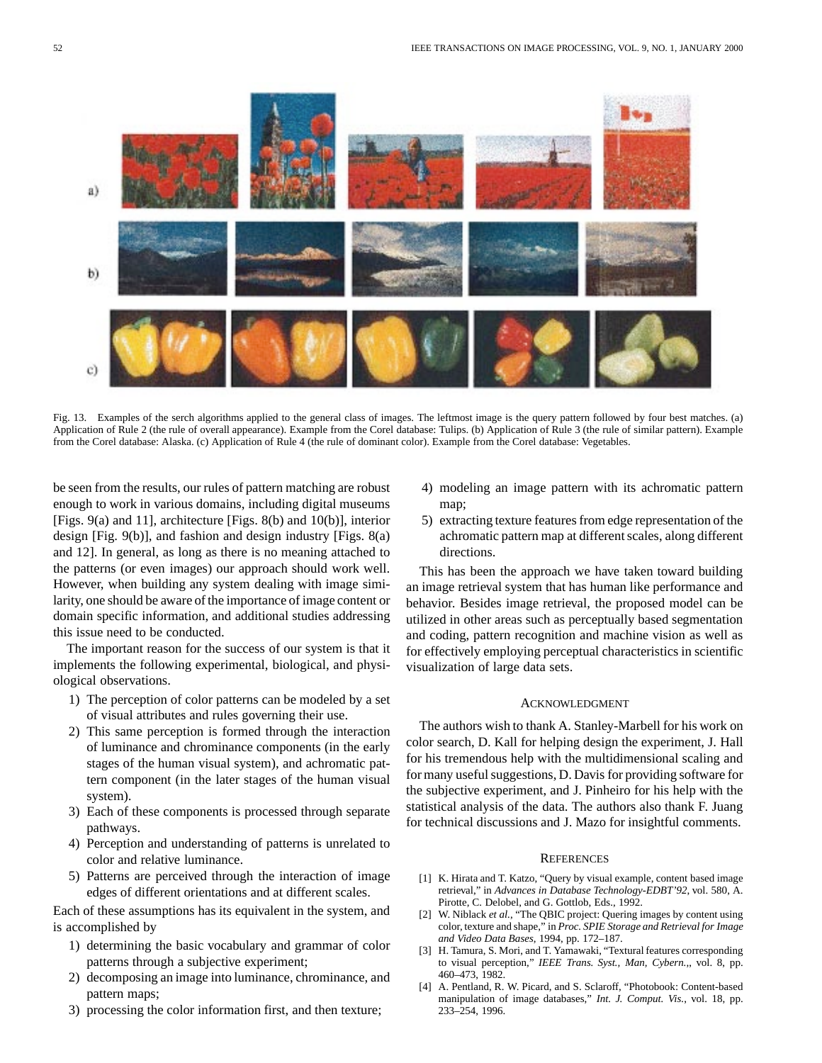

Fig. 13. Examples of the serch algorithms applied to the general class of images. The leftmost image is the query pattern followed by four best matches. (a) Application of Rule 2 (the rule of overall appearance). Example from the Corel database: Tulips. (b) Application of Rule 3 (the rule of similar pattern). Example from the Corel database: Alaska. (c) Application of Rule 4 (the rule of dominant color). Example from the Corel database: Vegetables.

be seen from the results, our rules of pattern matching are robust enough to work in various domains, including digital museums [Figs. 9(a) and 11], architecture [Figs. 8(b) and 10(b)], interior design [Fig. 9(b)], and fashion and design industry [Figs. 8(a) and 12]. In general, as long as there is no meaning attached to the patterns (or even images) our approach should work well. However, when building any system dealing with image similarity, one should be aware of the importance of image content or domain specific information, and additional studies addressing this issue need to be conducted.

The important reason for the success of our system is that it implements the following experimental, biological, and physiological observations.

- 1) The perception of color patterns can be modeled by a set of visual attributes and rules governing their use.
- 2) This same perception is formed through the interaction of luminance and chrominance components (in the early stages of the human visual system), and achromatic pattern component (in the later stages of the human visual system).
- 3) Each of these components is processed through separate pathways.
- 4) Perception and understanding of patterns is unrelated to color and relative luminance.
- 5) Patterns are perceived through the interaction of image edges of different orientations and at different scales.

Each of these assumptions has its equivalent in the system, and is accomplished by

- 1) determining the basic vocabulary and grammar of color patterns through a subjective experiment;
- 2) decomposing an image into luminance, chrominance, and pattern maps;
- 3) processing the color information first, and then texture;
- 4) modeling an image pattern with its achromatic pattern map;
- 5) extracting texture features from edge representation of the achromatic pattern map at different scales, along different directions.

This has been the approach we have taken toward building an image retrieval system that has human like performance and behavior. Besides image retrieval, the proposed model can be utilized in other areas such as perceptually based segmentation and coding, pattern recognition and machine vision as well as for effectively employing perceptual characteristics in scientific visualization of large data sets.

## ACKNOWLEDGMENT

The authors wish to thank A. Stanley-Marbell for his work on color search, D. Kall for helping design the experiment, J. Hall for his tremendous help with the multidimensional scaling and for many useful suggestions, D. Davis for providing software for the subjective experiment, and J. Pinheiro for his help with the statistical analysis of the data. The authors also thank F. Juang for technical discussions and J. Mazo for insightful comments.

#### **REFERENCES**

- [1] K. Hirata and T. Katzo, "Query by visual example, content based image retrieval," in *Advances in Database Technology-EDBT'92*, vol. 580, A. Pirotte, C. Delobel, and G. Gottlob, Eds., 1992.
- [2] W. Niblack *et al.*, "The QBIC project: Quering images by content using color, texture and shape," in *Proc. SPIE Storage and Retrieval for Image and Video Data Bases*, 1994, pp. 172–187.
- [3] H. Tamura, S. Mori, and T. Yamawaki, "Textural features corresponding to visual perception," *IEEE Trans. Syst., Man, Cybern.,*, vol. 8, pp. 460–473, 1982.
- [4] A. Pentland, R. W. Picard, and S. Sclaroff, "Photobook: Content-based manipulation of image databases," *Int. J. Comput. Vis.*, vol. 18, pp. 233–254, 1996.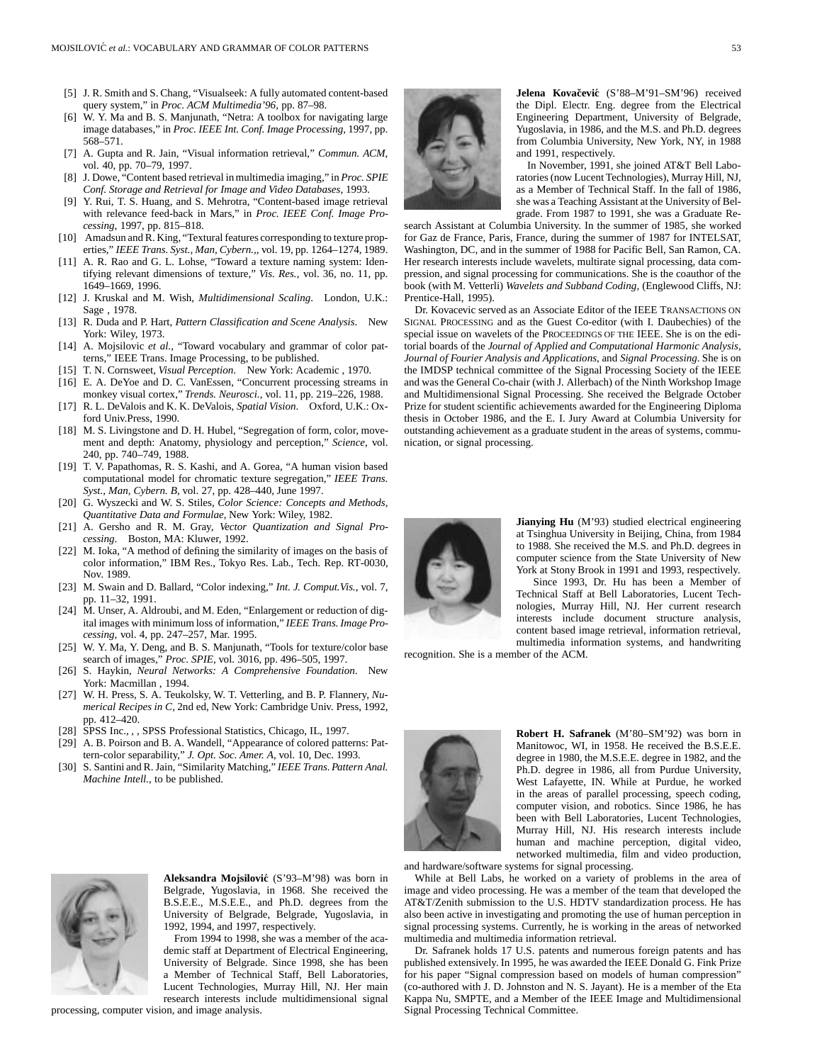- [5] J. R. Smith and S. Chang, "Visualseek: A fully automated content-based query system," in *Proc. ACM Multimedia'96*, pp. 87–98.
- [6] W. Y. Ma and B. S. Manjunath, "Netra: A toolbox for navigating large image databases," in *Proc. IEEE Int. Conf. Image Processing*, 1997, pp. 568–571.
- [7] A. Gupta and R. Jain, "Visual information retrieval," *Commun. ACM*, vol. 40, pp. 70–79, 1997.
- [8] J. Dowe, "Content based retrieval in multimedia imaging," in *Proc. SPIE Conf. Storage and Retrieval for Image and Video Databases*, 1993.
- [9] Y. Rui, T. S. Huang, and S. Mehrotra, "Content-based image retrieval with relevance feed-back in Mars," in *Proc. IEEE Conf. Image Processing*, 1997, pp. 815–818.
- [10] Amadsun and R. King, "Textural features corresponding to texture properties," *IEEE Trans. Syst., Man, Cybern.,*, vol. 19, pp. 1264–1274, 1989.
- [11] A. R. Rao and G. L. Lohse, "Toward a texture naming system: Identifying relevant dimensions of texture," *Vis. Res.*, vol. 36, no. 11, pp. 1649–1669, 1996.
- [12] J. Kruskal and M. Wish, *Multidimensional Scaling*. London, U.K.: Sage , 1978.
- [13] R. Duda and P. Hart, *Pattern Classification and Scene Analysis*. New York: Wiley, 1973.
- [14] A. Mojsilovic et al., "Toward vocabulary and grammar of color patterns," IEEE Trans. Image Processing, to be published.
- [15] T. N. Cornsweet, *Visual Perception*. New York: Academic , 1970.
- [16] E. A. DeYoe and D. C. VanEssen, "Concurrent processing streams in monkey visual cortex," *Trends. Neurosci.*, vol. 11, pp. 219–226, 1988.
- [17] R. L. DeValois and K. K. DeValois, *Spatial Vision*. Oxford, U.K.: Oxford Univ.Press, 1990.
- [18] M. S. Livingstone and D. H. Hubel, "Segregation of form, color, movement and depth: Anatomy, physiology and perception," *Science*, vol. 240, pp. 740–749, 1988.
- [19] T. V. Papathomas, R. S. Kashi, and A. Gorea, "A human vision based computational model for chromatic texture segregation," *IEEE Trans. Syst., Man, Cybern. B*, vol. 27, pp. 428–440, June 1997.
- [20] G. Wyszecki and W. S. Stiles, *Color Science: Concepts and Methods, Quantitative Data and Formulae*, New York: Wiley, 1982.
- [21] A. Gersho and R. M. Gray, *Vector Quantization and Signal Processing*. Boston, MA: Kluwer, 1992.
- [22] M. Ioka, "A method of defining the similarity of images on the basis of color information," IBM Res., Tokyo Res. Lab., Tech. Rep. RT-0030, Nov. 1989.
- [23] M. Swain and D. Ballard, "Color indexing," *Int. J. Comput.Vis.*, vol. 7, pp. 11–32, 1991.
- [24] M. Unser, A. Aldroubi, and M. Eden, "Enlargement or reduction of digital images with minimum loss of information," *IEEE Trans. Image Processing*, vol. 4, pp. 247–257, Mar. 1995.
- [25] W. Y. Ma, Y. Deng, and B. S. Manjunath, "Tools for texture/color base search of images," *Proc. SPIE*, vol. 3016, pp. 496–505, 1997.
- [26] S. Haykin, *Neural Networks: A Comprehensive Foundation*. New York: Macmillan , 1994.
- [27] W. H. Press, S. A. Teukolsky, W. T. Vetterling, and B. P. Flannery, *Numerical Recipes in C*, 2nd ed, New York: Cambridge Univ. Press, 1992, pp. 412–420.
- [28] SPSS Inc., , , SPSS Professional Statistics, Chicago, IL, 1997.
- [29] A. B. Poirson and B. A. Wandell, "Appearance of colored patterns: Pattern-color separability," *J. Opt. Soc. Amer. A*, vol. 10, Dec. 1993.
- [30] S. Santini and R. Jain, "Similarity Matching," *IEEE Trans. Pattern Anal. Machine Intell.*, to be published.



**Aleksandra Mojsilovic´** (S'93–M'98) was born in Belgrade, Yugoslavia, in 1968. She received the B.S.E.E., M.S.E.E., and Ph.D. degrees from the University of Belgrade, Belgrade, Yugoslavia, in 1992, 1994, and 1997, respectively.

From 1994 to 1998, she was a member of the academic staff at Department of Electrical Engineering, University of Belgrade. Since 1998, she has been a Member of Technical Staff, Bell Laboratories, Lucent Technologies, Murray Hill, NJ. Her main research interests include multidimensional signal

processing, computer vision, and image analysis.



**Jelena Kovačević** (S'88–M'91–SM'96) received the Dipl. Electr. Eng. degree from the Electrical Engineering Department, University of Belgrade, Yugoslavia, in 1986, and the M.S. and Ph.D. degrees from Columbia University, New York, NY, in 1988 and 1991, respectively.

In November, 1991, she joined AT&T Bell Laboratories (now Lucent Technologies), Murray Hill, NJ, as a Member of Technical Staff. In the fall of 1986, she was a Teaching Assistant at the University of Belgrade. From 1987 to 1991, she was a Graduate Re-

search Assistant at Columbia University. In the summer of 1985, she worked for Gaz de France, Paris, France, during the summer of 1987 for INTELSAT, Washington, DC, and in the summer of 1988 for Pacific Bell, San Ramon, CA. Her research interests include wavelets, multirate signal processing, data compression, and signal processing for communications. She is the coauthor of the book (with M. Vetterli) *Wavelets and Subband Coding,* (Englewood Cliffs, NJ: Prentice-Hall, 1995).

Dr. Kovacevic served as an Associate Editor of the IEEE TRANSACTIONS ON SIGNAL PROCESSING and as the Guest Co-editor (with I. Daubechies) of the special issue on wavelets of the PROCEEDINGS OF THE IEEE. She is on the editorial boards of the *Journal of Applied and Computational Harmonic Analysis*, *Journal of Fourier Analysis and Applications*, and *Signal Processing*. She is on the IMDSP technical committee of the Signal Processing Society of the IEEE and was the General Co-chair (with J. Allerbach) of the Ninth Workshop Image and Multidimensional Signal Processing. She received the Belgrade October Prize for student scientific achievements awarded for the Engineering Diploma thesis in October 1986, and the E. I. Jury Award at Columbia University for outstanding achievement as a graduate student in the areas of systems, communication, or signal processing.



**Jianying Hu** (M'93) studied electrical engineering at Tsinghua University in Beijing, China, from 1984 to 1988. She received the M.S. and Ph.D. degrees in computer science from the State University of New York at Stony Brook in 1991 and 1993, respectively.

Since 1993, Dr. Hu has been a Member of Technical Staff at Bell Laboratories, Lucent Technologies, Murray Hill, NJ. Her current research interests include document structure analysis, content based image retrieval, information retrieval, multimedia information systems, and handwriting

recognition. She is a member of the ACM.



**Robert H. Safranek** (M'80–SM'92) was born in Manitowoc, WI, in 1958. He received the B.S.E.E. degree in 1980, the M.S.E.E. degree in 1982, and the Ph.D. degree in 1986, all from Purdue University, West Lafayette, IN. While at Purdue, he worked in the areas of parallel processing, speech coding, computer vision, and robotics. Since 1986, he has been with Bell Laboratories, Lucent Technologies, Murray Hill, NJ. His research interests include human and machine perception, digital video, networked multimedia, film and video production,

and hardware/software systems for signal processing.

While at Bell Labs, he worked on a variety of problems in the area of image and video processing. He was a member of the team that developed the AT&T/Zenith submission to the U.S. HDTV standardization process. He has also been active in investigating and promoting the use of human perception in signal processing systems. Currently, he is working in the areas of networked multimedia and multimedia information retrieval.

Dr. Safranek holds 17 U.S. patents and numerous foreign patents and has published extensively. In 1995, he was awarded the IEEE Donald G. Fink Prize for his paper "Signal compression based on models of human compression" (co-authored with J. D. Johnston and N. S. Jayant). He is a member of the Eta Kappa Nu, SMPTE, and a Member of the IEEE Image and Multidimensional Signal Processing Technical Committee.